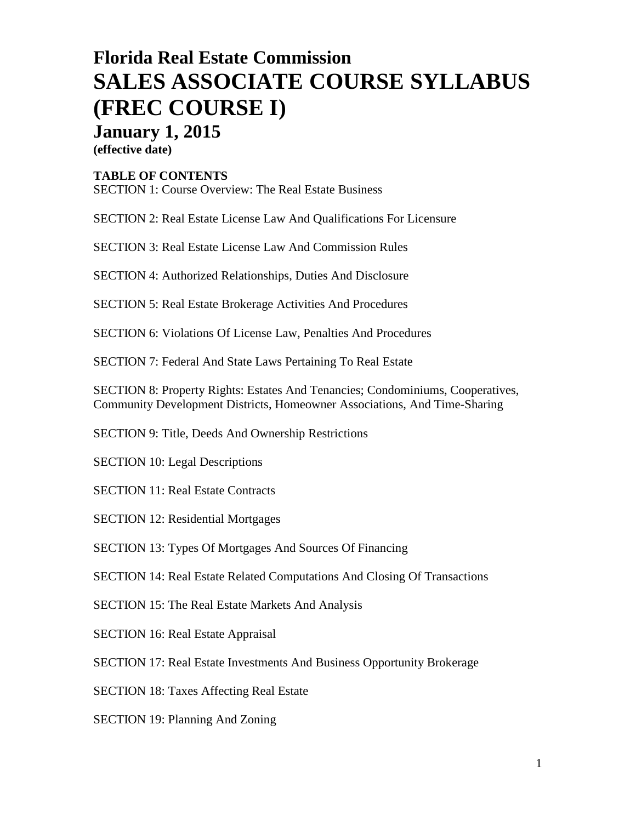# **Florida Real Estate Commission SALES ASSOCIATE COURSE SYLLABUS (FREC COURSE I) January 1, 2015**

**(effective date)**

#### **TABLE OF CONTENTS**

SECTION 1: Course Overview: The Real Estate Business

SECTION 2: Real Estate License Law And Qualifications For Licensure

SECTION 3: Real Estate License Law And Commission Rules

SECTION 4: Authorized Relationships, Duties And Disclosure

SECTION 5: Real Estate Brokerage Activities And Procedures

SECTION 6: Violations Of License Law, Penalties And Procedures

SECTION 7: Federal And State Laws Pertaining To Real Estate

SECTION 8: Property Rights: Estates And Tenancies; Condominiums, Cooperatives, Community Development Districts, Homeowner Associations, And Time-Sharing

SECTION 9: Title, Deeds And Ownership Restrictions

SECTION 10: Legal Descriptions

SECTION 11: Real Estate Contracts

SECTION 12: Residential Mortgages

SECTION 13: Types Of Mortgages And Sources Of Financing

SECTION 14: Real Estate Related Computations And Closing Of Transactions

SECTION 15: The Real Estate Markets And Analysis

SECTION 16: Real Estate Appraisal

SECTION 17: Real Estate Investments And Business Opportunity Brokerage

SECTION 18: Taxes Affecting Real Estate

SECTION 19: Planning And Zoning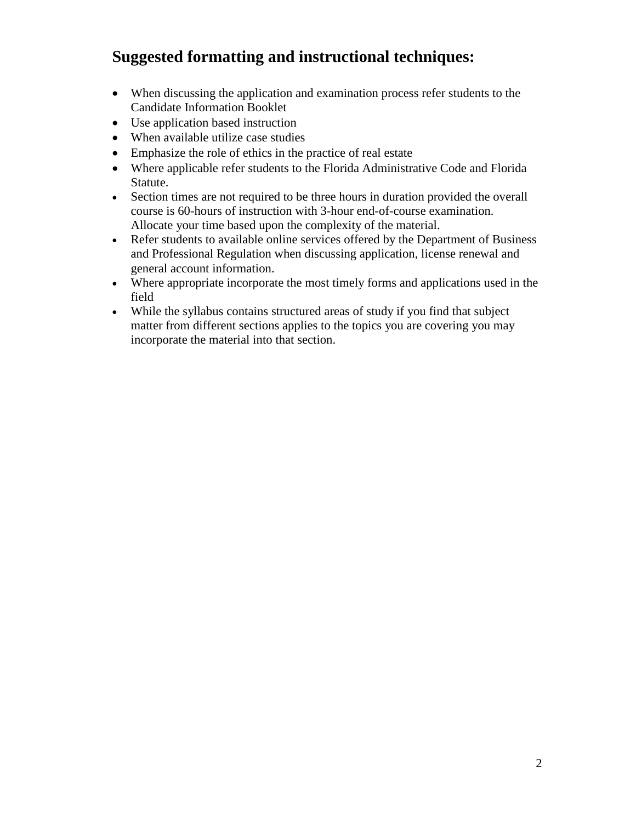## **Suggested formatting and instructional techniques:**

- When discussing the application and examination process refer students to the Candidate Information Booklet
- Use application based instruction
- When available utilize case studies
- Emphasize the role of ethics in the practice of real estate
- Where applicable refer students to the Florida Administrative Code and Florida Statute.
- Section times are not required to be three hours in duration provided the overall course is 60-hours of instruction with 3-hour end-of-course examination. Allocate your time based upon the complexity of the material.
- Refer students to available online services offered by the Department of Business and Professional Regulation when discussing application, license renewal and general account information.
- Where appropriate incorporate the most timely forms and applications used in the field
- While the syllabus contains structured areas of study if you find that subject matter from different sections applies to the topics you are covering you may incorporate the material into that section.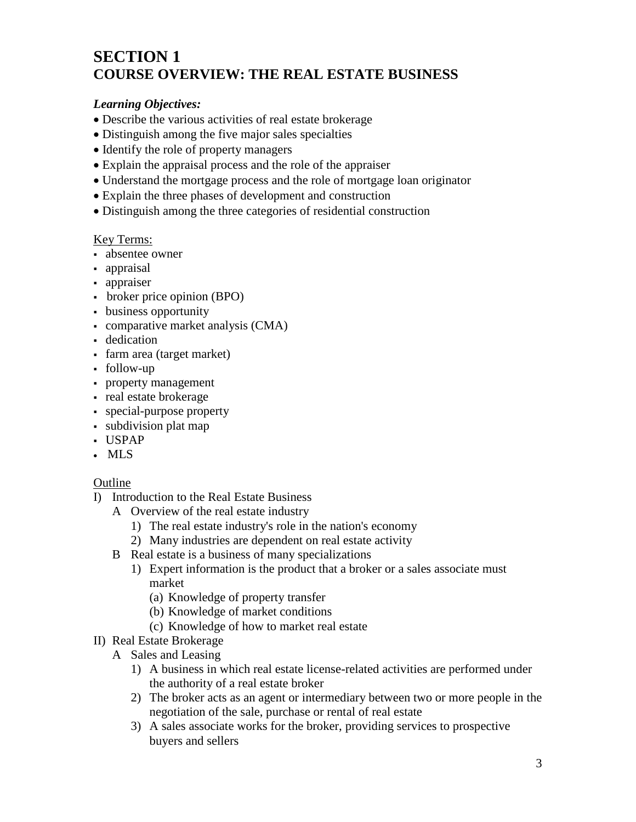## **SECTION 1 COURSE OVERVIEW: THE REAL ESTATE BUSINESS**

#### *Learning Objectives:*

- Describe the various activities of real estate brokerage
- Distinguish among the five major sales specialties
- Identify the role of property managers
- Explain the appraisal process and the role of the appraiser
- Understand the mortgage process and the role of mortgage loan originator
- Explain the three phases of development and construction
- Distinguish among the three categories of residential construction

#### Key Terms:

- absentee owner
- appraisal
- appraiser
- broker price opinion (BPO)
- business opportunity
- comparative market analysis (CMA)
- **dedication**
- farm area (target market)
- follow-up
- property management
- real estate brokerage
- special-purpose property
- subdivision plat map
- USPAP
- MLS

- I) Introduction to the Real Estate Business
	- A Overview of the real estate industry
		- 1) The real estate industry's role in the nation's economy
		- 2) Many industries are dependent on real estate activity
	- B Real estate is a business of many specializations
		- 1) Expert information is the product that a broker or a sales associate must market
			- (a) Knowledge of property transfer
			- (b) Knowledge of market conditions
			- (c) Knowledge of how to market real estate
- II) Real Estate Brokerage
	- A Sales and Leasing
		- 1) A business in which real estate license-related activities are performed under the authority of a real estate broker
		- 2) The broker acts as an agent or intermediary between two or more people in the negotiation of the sale, purchase or rental of real estate
		- 3) A sales associate works for the broker, providing services to prospective buyers and sellers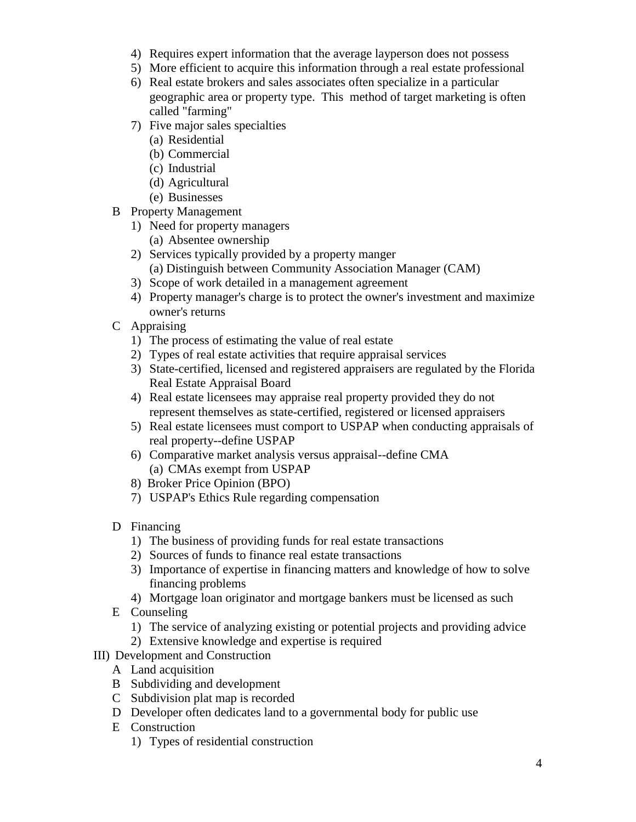- 4) Requires expert information that the average layperson does not possess
- 5) More efficient to acquire this information through a real estate professional
- 6) Real estate brokers and sales associates often specialize in a particular geographic area or property type. This method of target marketing is often called "farming"
- 7) Five major sales specialties
	- (a) Residential
	- (b) Commercial
	- (c) Industrial
	- (d) Agricultural
	- (e) Businesses
- B Property Management
	- 1) Need for property managers
		- (a) Absentee ownership
	- 2) Services typically provided by a property manger (a) Distinguish between Community Association Manager (CAM)
	- 3) Scope of work detailed in a management agreement
	- 4) Property manager's charge is to protect the owner's investment and maximize owner's returns
- C Appraising
	- 1) The process of estimating the value of real estate
	- 2) Types of real estate activities that require appraisal services
	- 3) State-certified, licensed and registered appraisers are regulated by the Florida Real Estate Appraisal Board
	- 4) Real estate licensees may appraise real property provided they do not represent themselves as state-certified, registered or licensed appraisers
	- 5) Real estate licensees must comport to USPAP when conducting appraisals of real property--define USPAP
	- 6) Comparative market analysis versus appraisal--define CMA (a) CMAs exempt from USPAP
	- 8) Broker Price Opinion (BPO)
	- 7) USPAP's Ethics Rule regarding compensation
- D Financing
	- 1) The business of providing funds for real estate transactions
	- 2) Sources of funds to finance real estate transactions
	- 3) Importance of expertise in financing matters and knowledge of how to solve financing problems
	- 4) Mortgage loan originator and mortgage bankers must be licensed as such
- E Counseling
	- 1) The service of analyzing existing or potential projects and providing advice
	- 2) Extensive knowledge and expertise is required
- III) Development and Construction
	- A Land acquisition
	- B Subdividing and development
	- C Subdivision plat map is recorded
	- D Developer often dedicates land to a governmental body for public use
	- E Construction
		- 1) Types of residential construction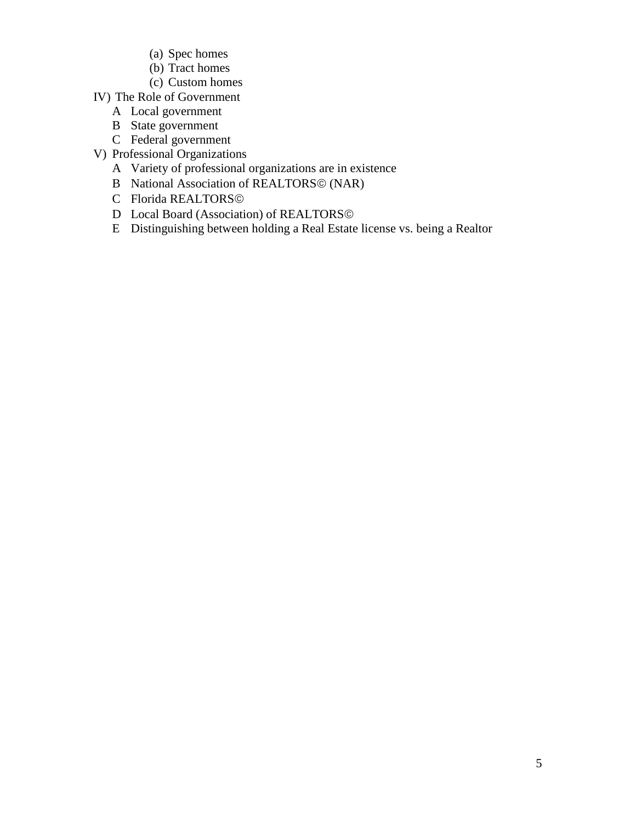- (a) Spec homes
- (b) Tract homes
- (c) Custom homes
- IV) The Role of Government
	- A Local government
	- B State government
	- C Federal government
- V) Professional Organizations
	- A Variety of professional organizations are in existence
	- B National Association of REALTORS© (NAR)
	- C Florida REALTORS
	- D Local Board (Association) of REALTORS©
	- E Distinguishing between holding a Real Estate license vs. being a Realtor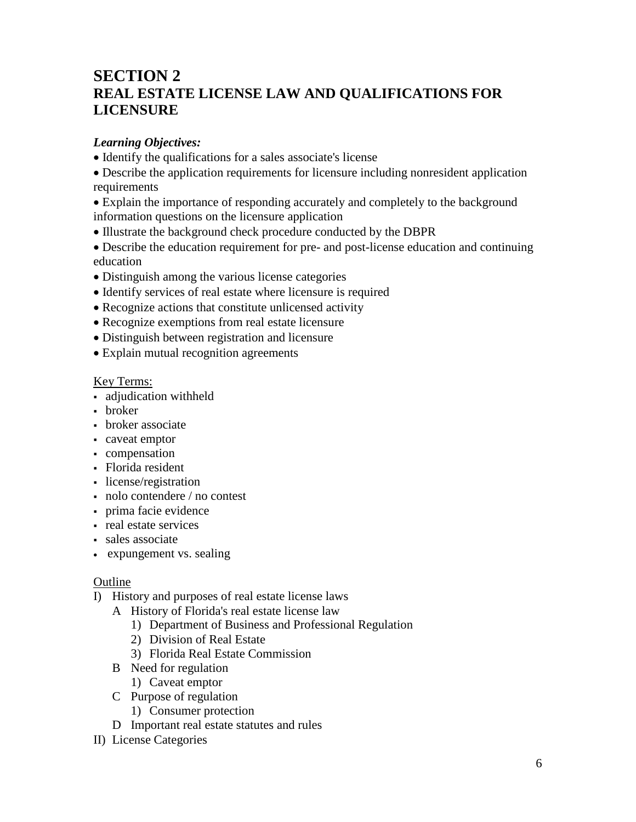## **SECTION 2 REAL ESTATE LICENSE LAW AND QUALIFICATIONS FOR LICENSURE**

#### *Learning Objectives:*

• Identify the qualifications for a sales associate's license

• Describe the application requirements for licensure including nonresident application requirements

- Explain the importance of responding accurately and completely to the background information questions on the licensure application
- Illustrate the background check procedure conducted by the DBPR
- Describe the education requirement for pre- and post-license education and continuing education
- Distinguish among the various license categories
- Identify services of real estate where licensure is required
- Recognize actions that constitute unlicensed activity
- Recognize exemptions from real estate licensure
- Distinguish between registration and licensure
- Explain mutual recognition agreements

#### Key Terms:

- adjudication withheld
- broker
- broker associate
- caveat emptor
- compensation
- Florida resident
- license/registration
- nolo contendere / no contest
- prima facie evidence
- real estate services
- sales associate
- expungement vs. sealing

- I) History and purposes of real estate license laws
	- A History of Florida's real estate license law
		- 1) Department of Business and Professional Regulation
		- 2) Division of Real Estate
		- 3) Florida Real Estate Commission
	- B Need for regulation
		- 1) Caveat emptor
	- C Purpose of regulation
		- 1) Consumer protection
	- D Important real estate statutes and rules
- II) License Categories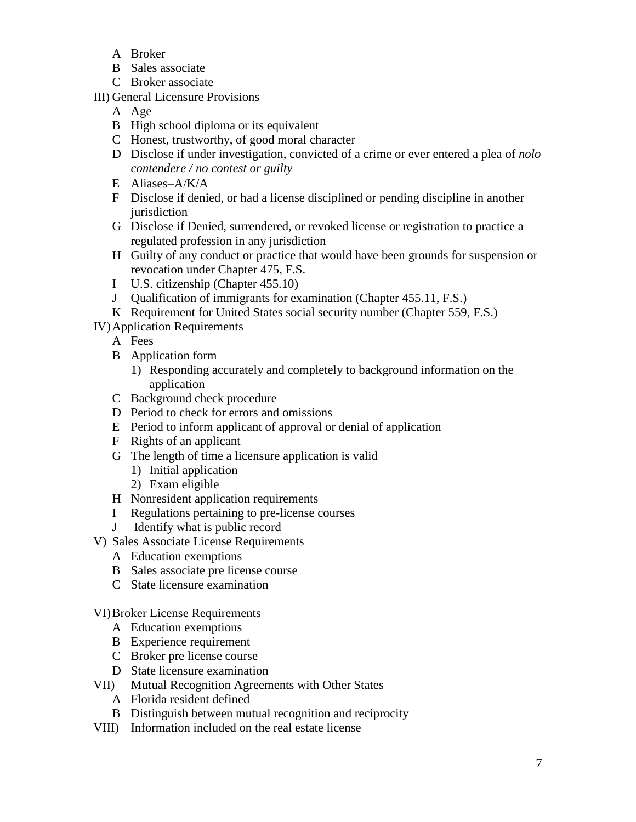- A Broker
- B Sales associate
- C Broker associate
- III) General Licensure Provisions
	- A Age
	- B High school diploma or its equivalent
	- C Honest, trustworthy, of good moral character
	- D Disclose if under investigation, convicted of a crime or ever entered a plea of *nolo contendere / no contest or guilty*
	- E Aliases−A/K/A
	- F Disclose if denied, or had a license disciplined or pending discipline in another iurisdiction
	- G Disclose if Denied, surrendered, or revoked license or registration to practice a regulated profession in any jurisdiction
	- H Guilty of any conduct or practice that would have been grounds for suspension or revocation under Chapter 475, F.S.
	- I U.S. citizenship (Chapter 455.10)
	- J Qualification of immigrants for examination (Chapter 455.11, F.S.)
	- K Requirement for United States social security number (Chapter 559, F.S.)

IV)Application Requirements

- A Fees
- B Application form
	- 1) Responding accurately and completely to background information on the application
- C Background check procedure
- D Period to check for errors and omissions
- E Period to inform applicant of approval or denial of application
- F Rights of an applicant
- G The length of time a licensure application is valid
	- 1) Initial application
	- 2) Exam eligible
- H Nonresident application requirements
- I Regulations pertaining to pre-license courses
- J Identify what is public record
- V) Sales Associate License Requirements
	- A Education exemptions
	- B Sales associate pre license course
	- C State licensure examination

### VI)Broker License Requirements

- A Education exemptions
- B Experience requirement
- C Broker pre license course
- D State licensure examination
- VII) Mutual Recognition Agreements with Other States
	- A Florida resident defined
	- B Distinguish between mutual recognition and reciprocity
- VIII) Information included on the real estate license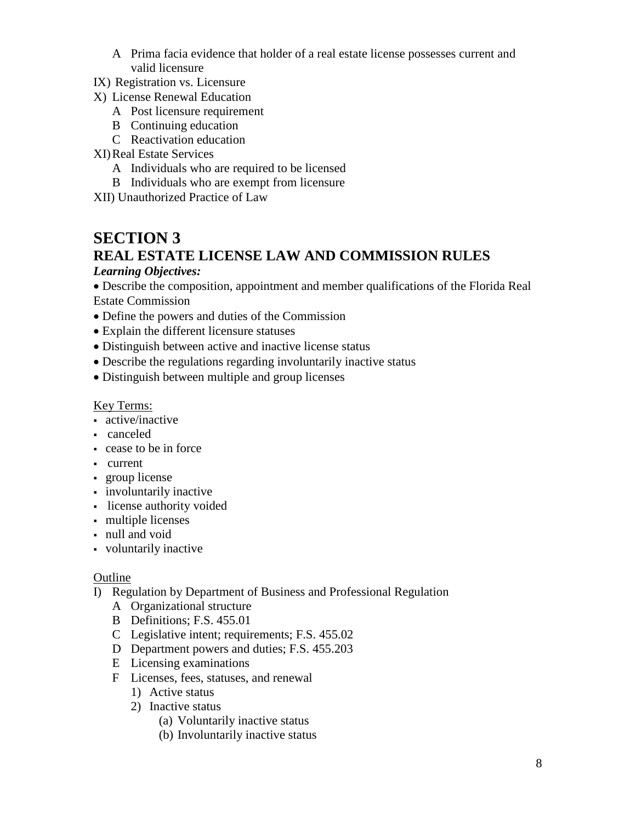- A Prima facia evidence that holder of a real estate license possesses current and valid licensure
- IX) Registration vs. Licensure
- X) License Renewal Education
	- A Post licensure requirement
	- B Continuing education
	- C Reactivation education

#### XI)Real Estate Services

- A Individuals who are required to be licensed
- B Individuals who are exempt from licensure
- XII) Unauthorized Practice of Law

### **SECTION 3 REAL ESTATE LICENSE LAW AND COMMISSION RULES**

#### *Learning Objectives:*

• Describe the composition, appointment and member qualifications of the Florida Real Estate Commission

- Define the powers and duties of the Commission
- Explain the different licensure statuses
- Distinguish between active and inactive license status
- Describe the regulations regarding involuntarily inactive status
- Distinguish between multiple and group licenses

#### Key Terms:

- active/inactive
- canceled
- cease to be in force
- current
- group license
- involuntarily inactive
- license authority voided
- multiple licenses
- null and void
- voluntarily inactive

- I) Regulation by Department of Business and Professional Regulation
	- A Organizational structure
	- B Definitions; F.S. 455.01
	- C Legislative intent; requirements; F.S. 455.02
	- D Department powers and duties; F.S. 455.203
	- E Licensing examinations
	- F Licenses, fees, statuses, and renewal
		- 1) Active status
		- 2) Inactive status
			- (a) Voluntarily inactive status
			- (b) Involuntarily inactive status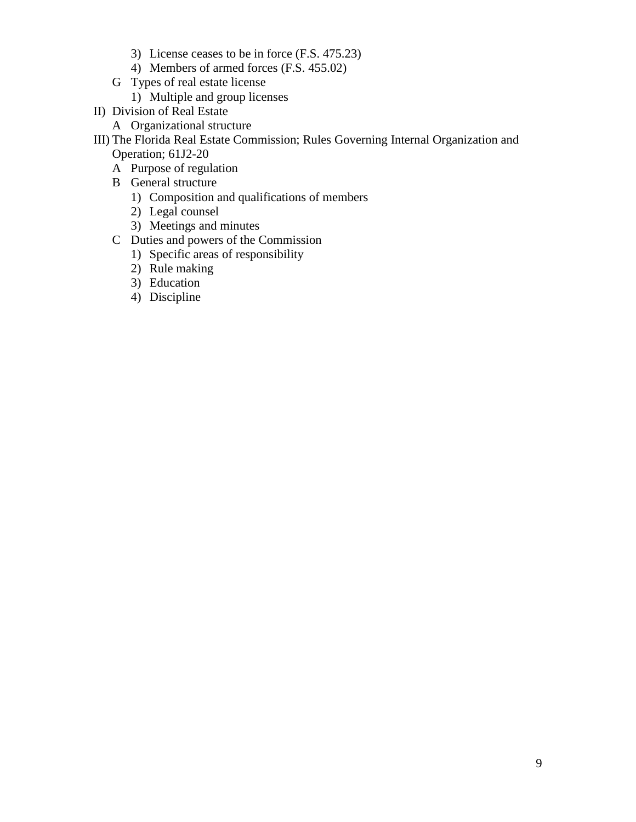- 3) License ceases to be in force (F.S. 475.23)
- 4) Members of armed forces (F.S. 455.02)
- G Types of real estate license
	- 1) Multiple and group licenses
- II) Division of Real Estate
	- A Organizational structure
- III) The Florida Real Estate Commission; Rules Governing Internal Organization and Operation; 61J2-20
	- A Purpose of regulation
	- B General structure
		- 1) Composition and qualifications of members
		- 2) Legal counsel
		- 3) Meetings and minutes
	- C Duties and powers of the Commission
		- 1) Specific areas of responsibility
		- 2) Rule making
		- 3) Education
		- 4) Discipline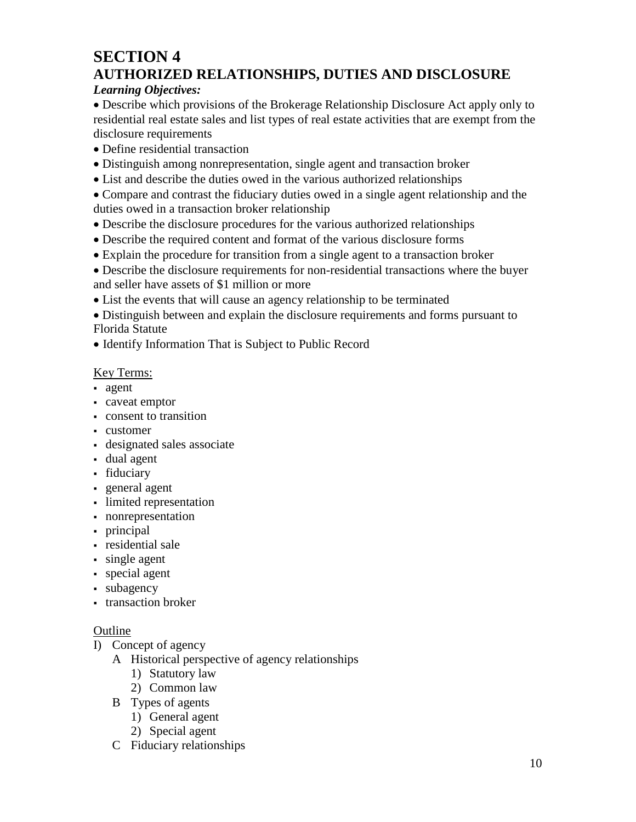## **SECTION 4 AUTHORIZED RELATIONSHIPS, DUTIES AND DISCLOSURE**

#### *Learning Objectives:*

• Describe which provisions of the Brokerage Relationship Disclosure Act apply only to residential real estate sales and list types of real estate activities that are exempt from the disclosure requirements

- Define residential transaction
- Distinguish among nonrepresentation, single agent and transaction broker
- List and describe the duties owed in the various authorized relationships

• Compare and contrast the fiduciary duties owed in a single agent relationship and the duties owed in a transaction broker relationship

- Describe the disclosure procedures for the various authorized relationships
- Describe the required content and format of the various disclosure forms
- Explain the procedure for transition from a single agent to a transaction broker

• Describe the disclosure requirements for non-residential transactions where the buyer and seller have assets of \$1 million or more

• List the events that will cause an agency relationship to be terminated

• Distinguish between and explain the disclosure requirements and forms pursuant to Florida Statute

• Identify Information That is Subject to Public Record

### Key Terms:

- agent
- caveat emptor
- consent to transition
- customer
- designated sales associate
- dual agent
- fiduciary
- general agent
- limited representation
- nonrepresentation
- principal
- residential sale
- single agent
- special agent
- subagency
- transaction broker

- I) Concept of agency
	- A Historical perspective of agency relationships
		- 1) Statutory law
		- 2) Common law
	- B Types of agents
		- 1) General agent
		- 2) Special agent
	- C Fiduciary relationships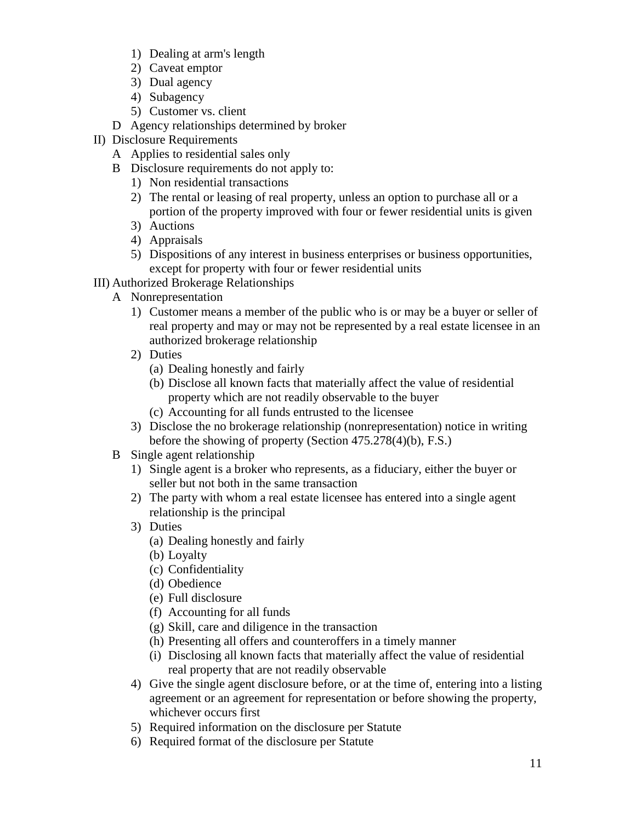- 1) Dealing at arm's length
- 2) Caveat emptor
- 3) Dual agency
- 4) Subagency
- 5) Customer vs. client
- D Agency relationships determined by broker
- II) Disclosure Requirements
	- A Applies to residential sales only
	- B Disclosure requirements do not apply to:
		- 1) Non residential transactions
		- 2) The rental or leasing of real property, unless an option to purchase all or a portion of the property improved with four or fewer residential units is given
		- 3) Auctions
		- 4) Appraisals
		- 5) Dispositions of any interest in business enterprises or business opportunities, except for property with four or fewer residential units
- III) Authorized Brokerage Relationships
	- A Nonrepresentation
		- 1) Customer means a member of the public who is or may be a buyer or seller of real property and may or may not be represented by a real estate licensee in an authorized brokerage relationship
		- 2) Duties
			- (a) Dealing honestly and fairly
			- (b) Disclose all known facts that materially affect the value of residential property which are not readily observable to the buyer
			- (c) Accounting for all funds entrusted to the licensee
		- 3) Disclose the no brokerage relationship (nonrepresentation) notice in writing before the showing of property (Section 475.278(4)(b), F.S.)
	- B Single agent relationship
		- 1) Single agent is a broker who represents, as a fiduciary, either the buyer or seller but not both in the same transaction
		- 2) The party with whom a real estate licensee has entered into a single agent relationship is the principal
		- 3) Duties
			- (a) Dealing honestly and fairly
			- (b) Loyalty
			- (c) Confidentiality
			- (d) Obedience
			- (e) Full disclosure
			- (f) Accounting for all funds
			- (g) Skill, care and diligence in the transaction
			- (h) Presenting all offers and counteroffers in a timely manner
			- (i) Disclosing all known facts that materially affect the value of residential real property that are not readily observable
		- 4) Give the single agent disclosure before, or at the time of, entering into a listing agreement or an agreement for representation or before showing the property, whichever occurs first
		- 5) Required information on the disclosure per Statute
		- 6) Required format of the disclosure per Statute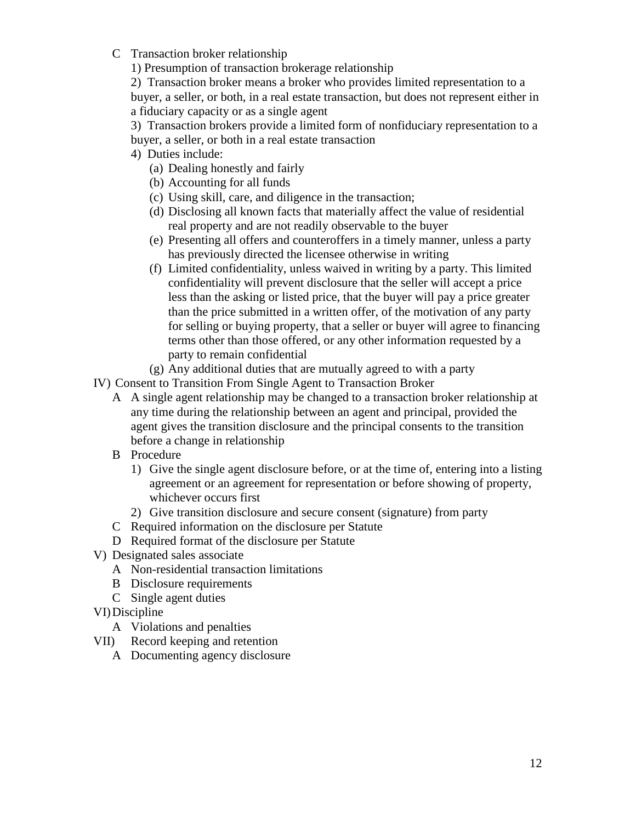C Transaction broker relationship

1) Presumption of transaction brokerage relationship

2) Transaction broker means a broker who provides limited representation to a buyer, a seller, or both, in a real estate transaction, but does not represent either in a fiduciary capacity or as a single agent

3) Transaction brokers provide a limited form of nonfiduciary representation to a buyer, a seller, or both in a real estate transaction

- 4) Duties include:
	- (a) Dealing honestly and fairly
	- (b) Accounting for all funds
	- (c) Using skill, care, and diligence in the transaction;
	- (d) Disclosing all known facts that materially affect the value of residential real property and are not readily observable to the buyer
	- (e) Presenting all offers and counteroffers in a timely manner, unless a party has previously directed the licensee otherwise in writing
	- (f) Limited confidentiality, unless waived in writing by a party. This limited confidentiality will prevent disclosure that the seller will accept a price less than the asking or listed price, that the buyer will pay a price greater than the price submitted in a written offer, of the motivation of any party for selling or buying property, that a seller or buyer will agree to financing terms other than those offered, or any other information requested by a party to remain confidential
	- (g) Any additional duties that are mutually agreed to with a party

IV) Consent to Transition From Single Agent to Transaction Broker

- A A single agent relationship may be changed to a transaction broker relationship at any time during the relationship between an agent and principal, provided the agent gives the transition disclosure and the principal consents to the transition before a change in relationship
- B Procedure
	- 1) Give the single agent disclosure before, or at the time of, entering into a listing agreement or an agreement for representation or before showing of property, whichever occurs first
	- 2) Give transition disclosure and secure consent (signature) from party
- C Required information on the disclosure per Statute
- D Required format of the disclosure per Statute
- V) Designated sales associate
	- A Non-residential transaction limitations
	- B Disclosure requirements
	- C Single agent duties

### VI)Discipline

- A Violations and penalties
- VII) Record keeping and retention
	- A Documenting agency disclosure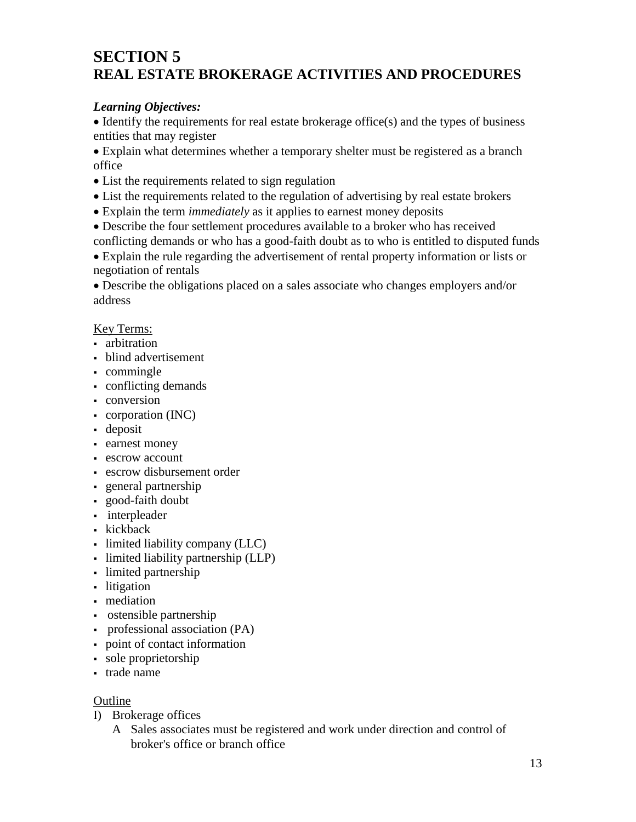## **SECTION 5 REAL ESTATE BROKERAGE ACTIVITIES AND PROCEDURES**

#### *Learning Objectives:*

• Identify the requirements for real estate brokerage office(s) and the types of business entities that may register

• Explain what determines whether a temporary shelter must be registered as a branch office

- List the requirements related to sign regulation
- List the requirements related to the regulation of advertising by real estate brokers
- Explain the term *immediately* as it applies to earnest money deposits
- Describe the four settlement procedures available to a broker who has received
- conflicting demands or who has a good-faith doubt as to who is entitled to disputed funds

• Explain the rule regarding the advertisement of rental property information or lists or negotiation of rentals

• Describe the obligations placed on a sales associate who changes employers and/or address

#### Key Terms:

- arbitration
- **blind advertisement**
- commingle
- conflicting demands
- conversion
- corporation (INC)
- deposit
- earnest money
- escrow account
- escrow disbursement order
- general partnership
- good-faith doubt
- interpleader
- kickback
- limited liability company (LLC)
- limited liability partnership (LLP)
- limited partnership
- litigation
- mediation
- ostensible partnership
- professional association (PA)
- point of contact information
- sole proprietorship
- **trade name**

- I) Brokerage offices
	- A Sales associates must be registered and work under direction and control of broker's office or branch office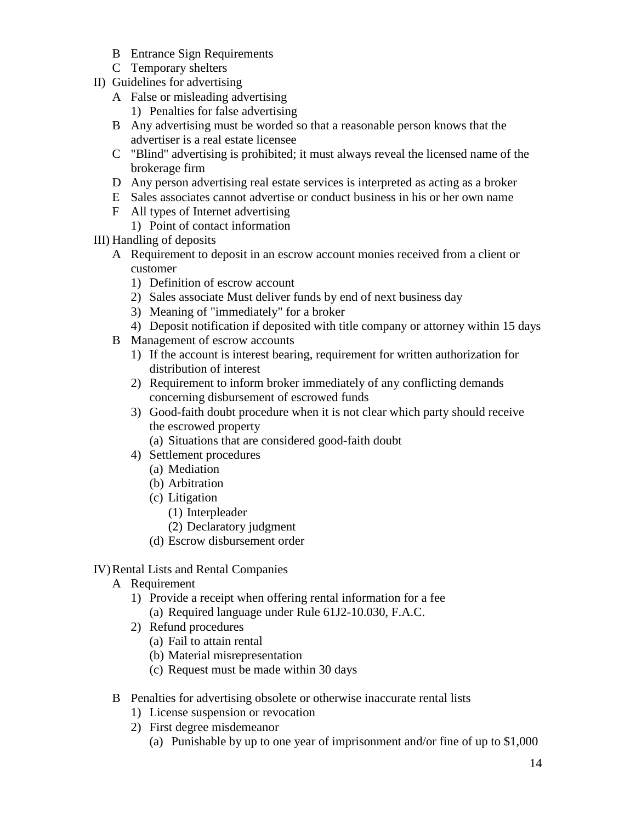- B Entrance Sign Requirements
- C Temporary shelters
- II) Guidelines for advertising
	- A False or misleading advertising
		- 1) Penalties for false advertising
	- B Any advertising must be worded so that a reasonable person knows that the advertiser is a real estate licensee
	- C "Blind" advertising is prohibited; it must always reveal the licensed name of the brokerage firm
	- D Any person advertising real estate services is interpreted as acting as a broker
	- E Sales associates cannot advertise or conduct business in his or her own name
	- F All types of Internet advertising
		- 1) Point of contact information

#### III) Handling of deposits

- A Requirement to deposit in an escrow account monies received from a client or customer
	- 1) Definition of escrow account
	- 2) Sales associate Must deliver funds by end of next business day
	- 3) Meaning of "immediately" for a broker
	- 4) Deposit notification if deposited with title company or attorney within 15 days
- B Management of escrow accounts
	- 1) If the account is interest bearing, requirement for written authorization for distribution of interest
	- 2) Requirement to inform broker immediately of any conflicting demands concerning disbursement of escrowed funds
	- 3) Good-faith doubt procedure when it is not clear which party should receive the escrowed property
		- (a) Situations that are considered good-faith doubt
	- 4) Settlement procedures
		- (a) Mediation
		- (b) Arbitration
		- (c) Litigation
			- (1) Interpleader
			- (2) Declaratory judgment
		- (d) Escrow disbursement order

#### IV)Rental Lists and Rental Companies

- A Requirement
	- 1) Provide a receipt when offering rental information for a fee (a) Required language under Rule [61J2-10.030,](https://www.flrules.org/gateway/ruleNo.asp?id=61J2-10.030) F.A.C.
	- 2) Refund procedures
		- (a) Fail to attain rental
		- (b) Material misrepresentation
		- (c) Request must be made within 30 days
- B Penalties for advertising obsolete or otherwise inaccurate rental lists
	- 1) License suspension or revocation
	- 2) First degree misdemeanor
		- (a) Punishable by up to one year of imprisonment and/or fine of up to \$1,000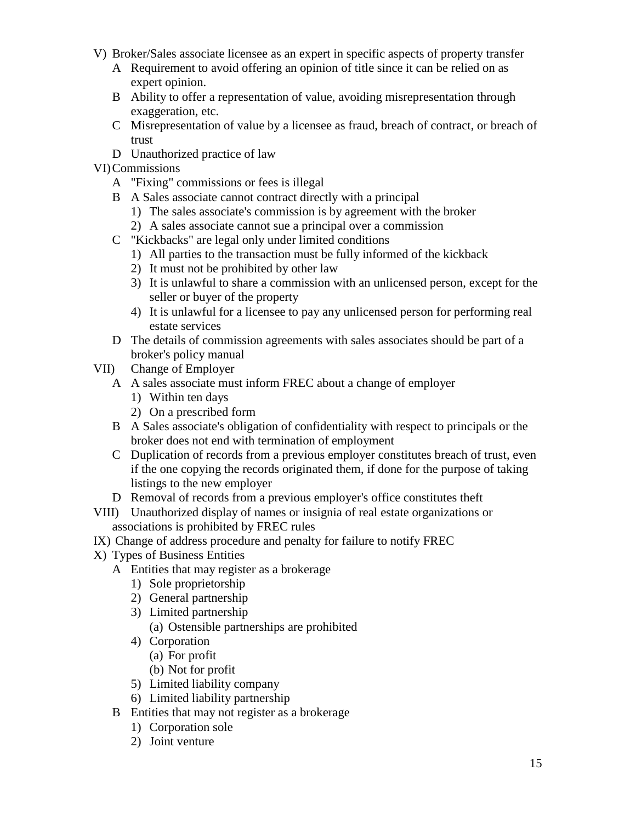- V) Broker/Sales associate licensee as an expert in specific aspects of property transfer
	- A Requirement to avoid offering an opinion of title since it can be relied on as expert opinion.
	- B Ability to offer a representation of value, avoiding misrepresentation through exaggeration, etc.
	- C Misrepresentation of value by a licensee as fraud, breach of contract, or breach of trust
	- D Unauthorized practice of law

#### VI)Commissions

- A "Fixing" commissions or fees is illegal
- B A Sales associate cannot contract directly with a principal
	- 1) The sales associate's commission is by agreement with the broker
	- 2) A sales associate cannot sue a principal over a commission
- C "Kickbacks" are legal only under limited conditions
	- 1) All parties to the transaction must be fully informed of the kickback
	- 2) It must not be prohibited by other law
	- 3) It is unlawful to share a commission with an unlicensed person, except for the seller or buyer of the property
	- 4) It is unlawful for a licensee to pay any unlicensed person for performing real estate services
- D The details of commission agreements with sales associates should be part of a broker's policy manual
- VII) Change of Employer
	- A A sales associate must inform FREC about a change of employer
		- 1) Within ten days
		- 2) On a prescribed form
	- B A Sales associate's obligation of confidentiality with respect to principals or the broker does not end with termination of employment
	- C Duplication of records from a previous employer constitutes breach of trust, even if the one copying the records originated them, if done for the purpose of taking listings to the new employer
	- D Removal of records from a previous employer's office constitutes theft
- VIII) Unauthorized display of names or insignia of real estate organizations or associations is prohibited by FREC rules
- IX) Change of address procedure and penalty for failure to notify FREC
- X) Types of Business Entities
	- A Entities that may register as a brokerage
		- 1) Sole proprietorship
		- 2) General partnership
		- 3) Limited partnership (a) Ostensible partnerships are prohibited
		- 4) Corporation
			- (a) For profit
			- (b) Not for profit
		- 5) Limited liability company
		- 6) Limited liability partnership
	- B Entities that may not register as a brokerage
		- 1) Corporation sole
		- 2) Joint venture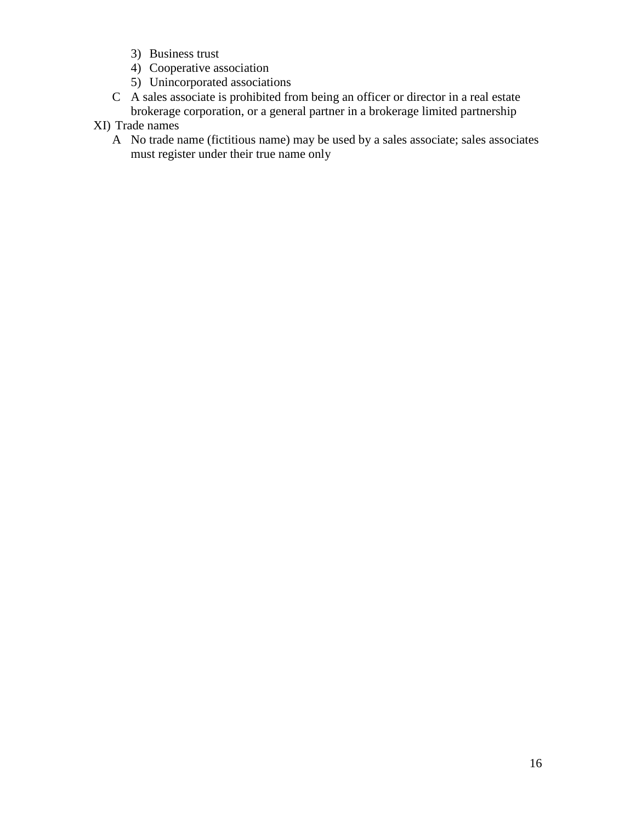- 3) Business trust
- 4) Cooperative association
- 5) Unincorporated associations
- C A sales associate is prohibited from being an officer or director in a real estate brokerage corporation, or a general partner in a brokerage limited partnership
- XI) Trade names
	- A No trade name (fictitious name) may be used by a sales associate; sales associates must register under their true name only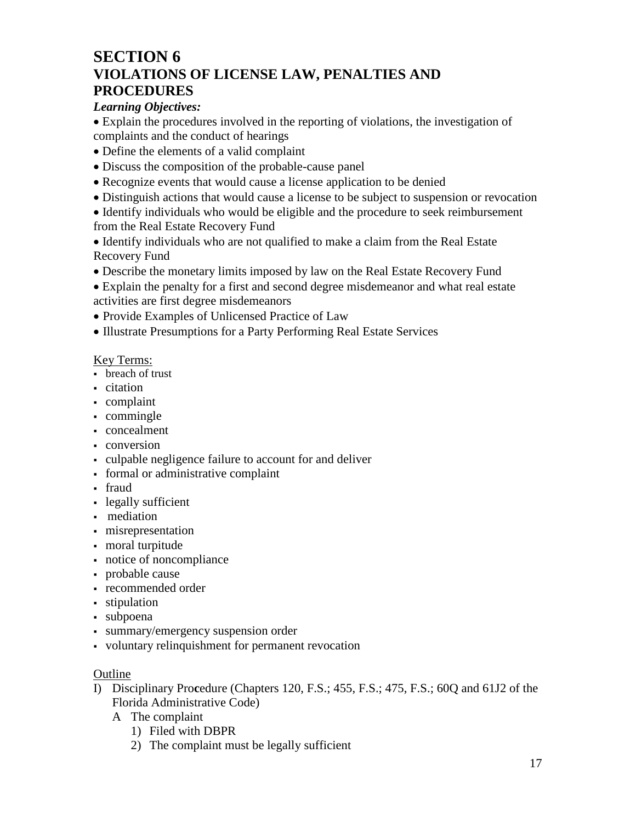### **SECTION 6 VIOLATIONS OF LICENSE LAW, PENALTIES AND PROCEDURES**

#### *Learning Objectives:*

• Explain the procedures involved in the reporting of violations, the investigation of complaints and the conduct of hearings

- Define the elements of a valid complaint
- Discuss the composition of the probable-cause panel
- Recognize events that would cause a license application to be denied
- Distinguish actions that would cause a license to be subject to suspension or revocation

• Identify individuals who would be eligible and the procedure to seek reimbursement from the Real Estate Recovery Fund

• Identify individuals who are not qualified to make a claim from the Real Estate Recovery Fund

• Describe the monetary limits imposed by law on the Real Estate Recovery Fund

• Explain the penalty for a first and second degree misdemeanor and what real estate activities are first degree misdemeanors

- Provide Examples of Unlicensed Practice of Law
- Illustrate Presumptions for a Party Performing Real Estate Services

#### Key Terms:

- breach of trust
- citation
- complaint
- commingle
- concealment
- conversion
- culpable negligence failure to account for and deliver
- formal or administrative complaint
- fraud
- legally sufficient
- mediation
- misrepresentation
- moral turpitude
- notice of noncompliance
- probable cause
- recommended order
- stipulation
- subpoena
- summary/emergency suspension order
- voluntary relinquishment for permanent revocation

- I) Disciplinary Pro**c**edure (Chapters 120, F.S.; 455, F.S.; 475, F.S.; 60Q and 61J2 of the Florida Administrative Code)
	- A The complaint
		- 1) Filed with DBPR
		- 2) The complaint must be legally sufficient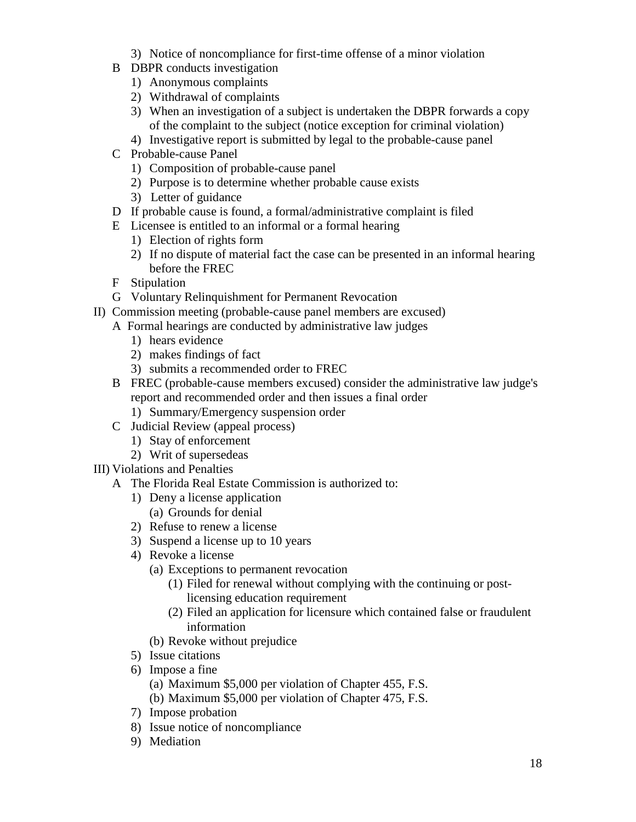- 3) Notice of noncompliance for first-time offense of a minor violation
- B DBPR conducts investigation
	- 1) Anonymous complaints
	- 2) Withdrawal of complaints
	- 3) When an investigation of a subject is undertaken the DBPR forwards a copy of the complaint to the subject (notice exception for criminal violation)
	- 4) Investigative report is submitted by legal to the probable-cause panel
- C Probable-cause Panel
	- 1) Composition of probable-cause panel
	- 2) Purpose is to determine whether probable cause exists
	- 3) Letter of guidance
- D If probable cause is found, a formal/administrative complaint is filed
- E Licensee is entitled to an informal or a formal hearing
	- 1) Election of rights form
	- 2) If no dispute of material fact the case can be presented in an informal hearing before the FREC
- F Stipulation
- G Voluntary Relinquishment for Permanent Revocation
- II) Commission meeting (probable-cause panel members are excused)
	- A Formal hearings are conducted by administrative law judges
		- 1) hears evidence
		- 2) makes findings of fact
		- 3) submits a recommended order to FREC
	- B FREC (probable-cause members excused) consider the administrative law judge's report and recommended order and then issues a final order
		- 1) Summary/Emergency suspension order
	- C Judicial Review (appeal process)
		- 1) Stay of enforcement
		- 2) Writ of supersedeas
- III) Violations and Penalties
	- A The Florida Real Estate Commission is authorized to:
		- 1) Deny a license application
			- (a) Grounds for denial
		- 2) Refuse to renew a license
		- 3) Suspend a license up to 10 years
		- 4) Revoke a license
			- (a) Exceptions to permanent revocation
				- (1) Filed for renewal without complying with the continuing or postlicensing education requirement
				- (2) Filed an application for licensure which contained false or fraudulent information
			- (b) Revoke without prejudice
		- 5) Issue citations
		- 6) Impose a fine
			- (a) Maximum \$5,000 per violation of Chapter 455, F.S.
			- (b) Maximum \$5,000 per violation of Chapter 475, F.S.
		- 7) Impose probation
		- 8) Issue notice of noncompliance
		- 9) Mediation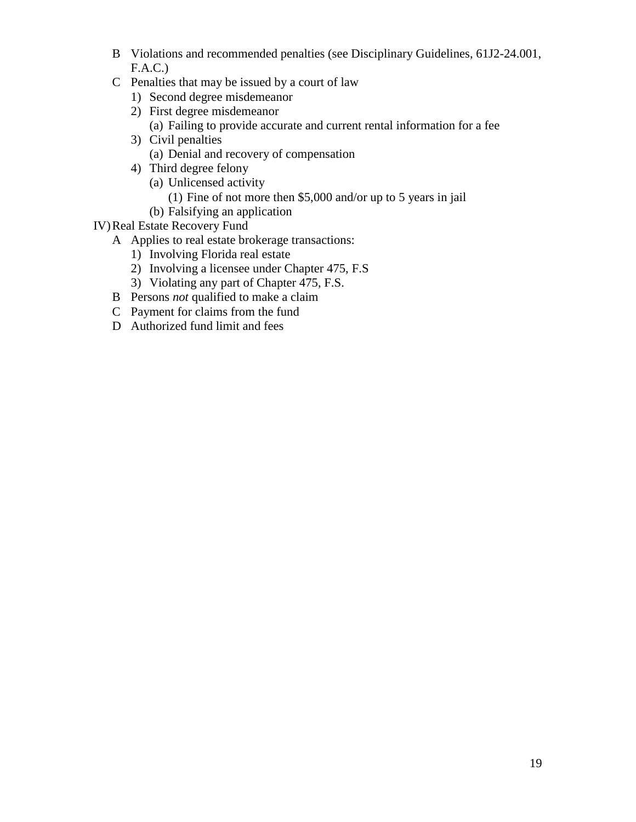- B Violations and recommended penalties (see Disciplinary Guidelines, 61J2-24.001, F.A.C.)
- C Penalties that may be issued by a court of law
	- 1) Second degree misdemeanor
	- 2) First degree misdemeanor (a) Failing to provide accurate and current rental information for a fee
	- 3) Civil penalties (a) Denial and recovery of compensation
	- 4) Third degree felony (a) Unlicensed activity
		- (1) Fine of not more then \$5,000 and/or up to 5 years in jail
		- (b) Falsifying an application
- IV)Real Estate Recovery Fund
	- A Applies to real estate brokerage transactions:
		- 1) Involving Florida real estate
		- 2) Involving a licensee under Chapter 475, F.S
		- 3) Violating any part of Chapter 475, F.S.
	- B Persons *not* qualified to make a claim
	- C Payment for claims from the fund
	- D Authorized fund limit and fees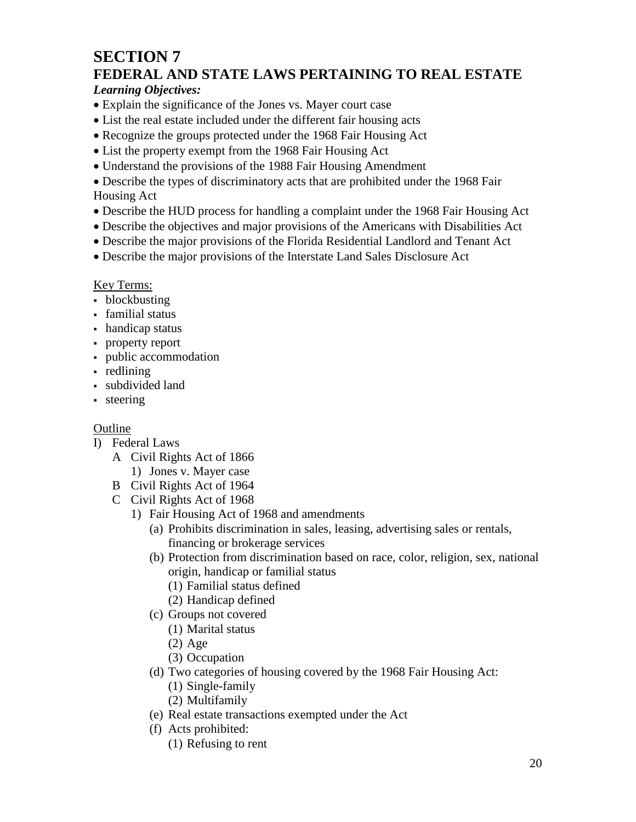## **SECTION 7 FEDERAL AND STATE LAWS PERTAINING TO REAL ESTATE**

#### *Learning Objectives:*

- Explain the significance of the Jones vs. Mayer court case
- List the real estate included under the different fair housing acts
- Recognize the groups protected under the 1968 Fair Housing Act
- List the property exempt from the 1968 Fair Housing Act
- Understand the provisions of the 1988 Fair Housing Amendment

• Describe the types of discriminatory acts that are prohibited under the 1968 Fair Housing Act

- Describe the HUD process for handling a complaint under the 1968 Fair Housing Act
- Describe the objectives and major provisions of the Americans with Disabilities Act
- Describe the major provisions of the Florida Residential Landlord and Tenant Act
- Describe the major provisions of the Interstate Land Sales Disclosure Act

#### Key Terms:

- blockbusting
- familial status
- handicap status
- property report
- public accommodation
- redlining
- subdivided land
- steering

- I) Federal Laws
	- A Civil Rights Act of 1866
		- 1) Jones v. Mayer case
	- B Civil Rights Act of 1964
	- C Civil Rights Act of 1968
		- 1) Fair Housing Act of 1968 and amendments
			- (a) Prohibits discrimination in sales, leasing, advertising sales or rentals, financing or brokerage services
			- (b) Protection from discrimination based on race, color, religion, sex, national origin, handicap or familial status
				- (1) Familial status defined
				- (2) Handicap defined
			- (c) Groups not covered
				- (1) Marital status
				- (2) Age
				- (3) Occupation
			- (d) Two categories of housing covered by the 1968 Fair Housing Act:
				- (1) Single-family
				- (2) Multifamily
			- (e) Real estate transactions exempted under the Act
			- (f) Acts prohibited:
				- (1) Refusing to rent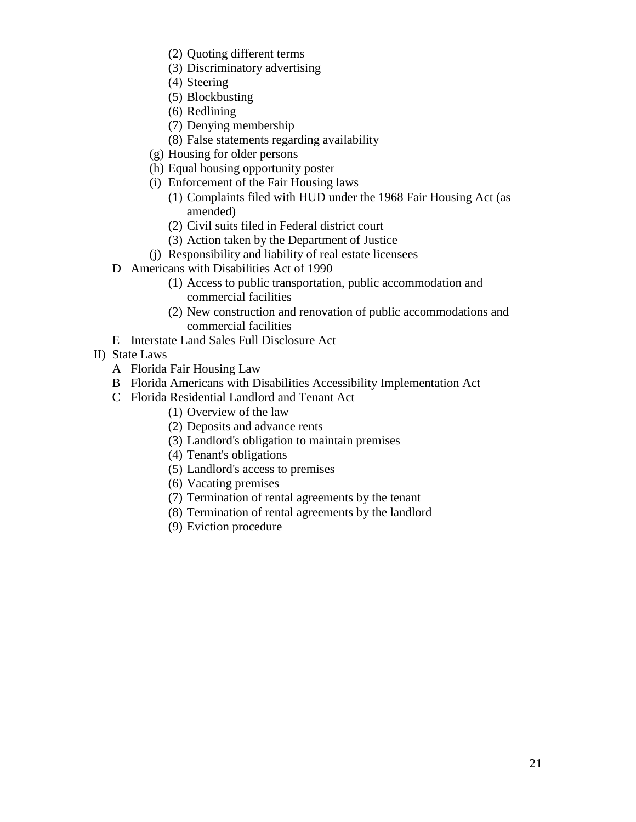- (2) Quoting different terms
- (3) Discriminatory advertising
- (4) Steering
- (5) Blockbusting
- (6) Redlining
- (7) Denying membership
- (8) False statements regarding availability
- (g) Housing for older persons
- (h) Equal housing opportunity poster
- (i) Enforcement of the Fair Housing laws
	- (1) Complaints filed with HUD under the 1968 Fair Housing Act (as amended)
	- (2) Civil suits filed in Federal district court
	- (3) Action taken by the Department of Justice
- (j) Responsibility and liability of real estate licensees
- D Americans with Disabilities Act of 1990
	- (1) Access to public transportation, public accommodation and commercial facilities
	- (2) New construction and renovation of public accommodations and commercial facilities
- E Interstate Land Sales Full Disclosure Act
- II) State Laws
	- A Florida Fair Housing Law
	- B Florida Americans with Disabilities Accessibility Implementation Act
	- C Florida Residential Landlord and Tenant Act
		- (1) Overview of the law
		- (2) Deposits and advance rents
		- (3) Landlord's obligation to maintain premises
		- (4) Tenant's obligations
		- (5) Landlord's access to premises
		- (6) Vacating premises
		- (7) Termination of rental agreements by the tenant
		- (8) Termination of rental agreements by the landlord
		- (9) Eviction procedure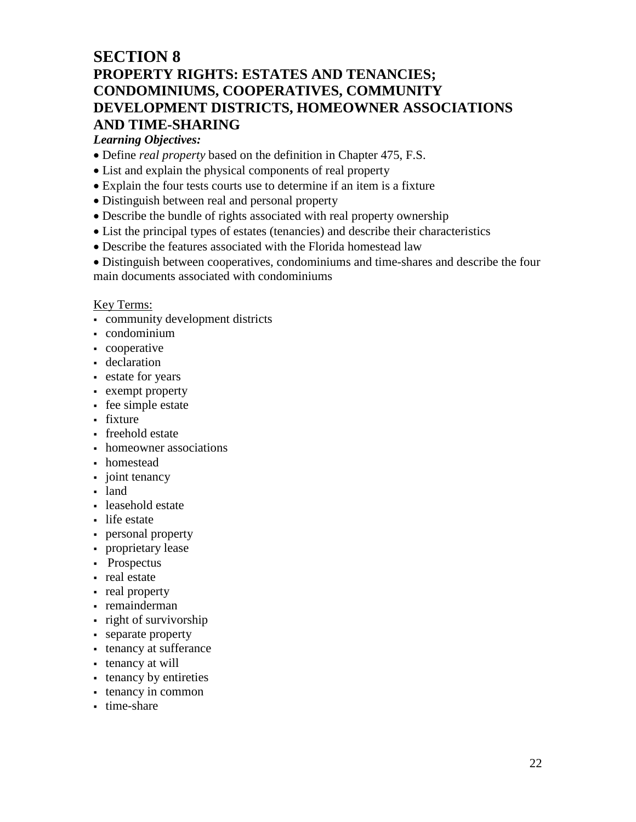### **SECTION 8 PROPERTY RIGHTS: ESTATES AND TENANCIES; CONDOMINIUMS, COOPERATIVES, COMMUNITY DEVELOPMENT DISTRICTS, HOMEOWNER ASSOCIATIONS AND TIME-SHARING**

#### *Learning Objectives:*

- Define *real property* based on the definition in Chapter 475, F.S.
- List and explain the physical components of real property
- Explain the four tests courts use to determine if an item is a fixture
- Distinguish between real and personal property
- Describe the bundle of rights associated with real property ownership
- List the principal types of estates (tenancies) and describe their characteristics
- Describe the features associated with the Florida homestead law

• Distinguish between cooperatives, condominiums and time-shares and describe the four main documents associated with condominiums

#### Key Terms:

- community development districts
- condominium
- cooperative
- declaration
- estate for years
- exempt property
- fee simple estate
- fixture
- freehold estate
- homeowner associations
- homestead
- joint tenancy
- land
- leasehold estate
- life estate
- personal property
- proprietary lease
- Prospectus
- real estate
- real property
- remainderman
- right of survivorship
- separate property
- tenancy at sufferance
- tenancy at will
- tenancy by entireties
- tenancy in common
- time-share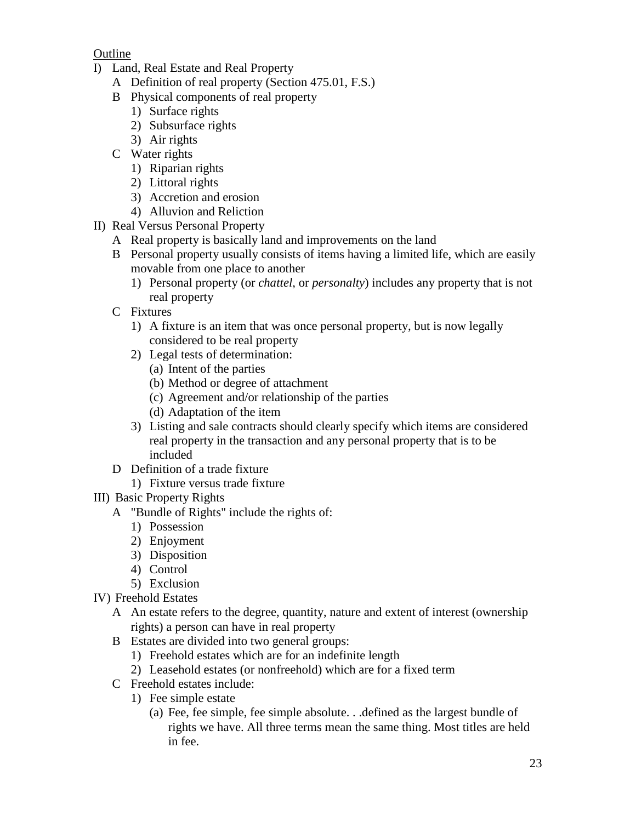- I) Land, Real Estate and Real Property
	- A Definition of real property (Section 475.01, F.S.)
	- B Physical components of real property
		- 1) Surface rights
		- 2) Subsurface rights
		- 3) Air rights
	- C Water rights
		- 1) Riparian rights
		- 2) Littoral rights
		- 3) Accretion and erosion
		- 4) Alluvion and Reliction
- II) Real Versus Personal Property
	- A Real property is basically land and improvements on the land
	- B Personal property usually consists of items having a limited life, which are easily movable from one place to another
		- 1) Personal property (or *chattel*, or *personalty*) includes any property that is not real property
	- C Fixtures
		- 1) A fixture is an item that was once personal property, but is now legally considered to be real property
		- 2) Legal tests of determination:
			- (a) Intent of the parties
			- (b) Method or degree of attachment
			- (c) Agreement and/or relationship of the parties
			- (d) Adaptation of the item
		- 3) Listing and sale contracts should clearly specify which items are considered real property in the transaction and any personal property that is to be included
	- D Definition of a trade fixture
		- 1) Fixture versus trade fixture
- III) Basic Property Rights
	- A "Bundle of Rights" include the rights of:
		- 1) Possession
		- 2) Enjoyment
		- 3) Disposition
		- 4) Control
		- 5) Exclusion
- IV) Freehold Estates
	- A An estate refers to the degree, quantity, nature and extent of interest (ownership rights) a person can have in real property
	- B Estates are divided into two general groups:
		- 1) Freehold estates which are for an indefinite length
		- 2) Leasehold estates (or nonfreehold) which are for a fixed term
	- C Freehold estates include:
		- 1) Fee simple estate
			- (a) Fee, fee simple, fee simple absolute. . .defined as the largest bundle of rights we have. All three terms mean the same thing. Most titles are held in fee.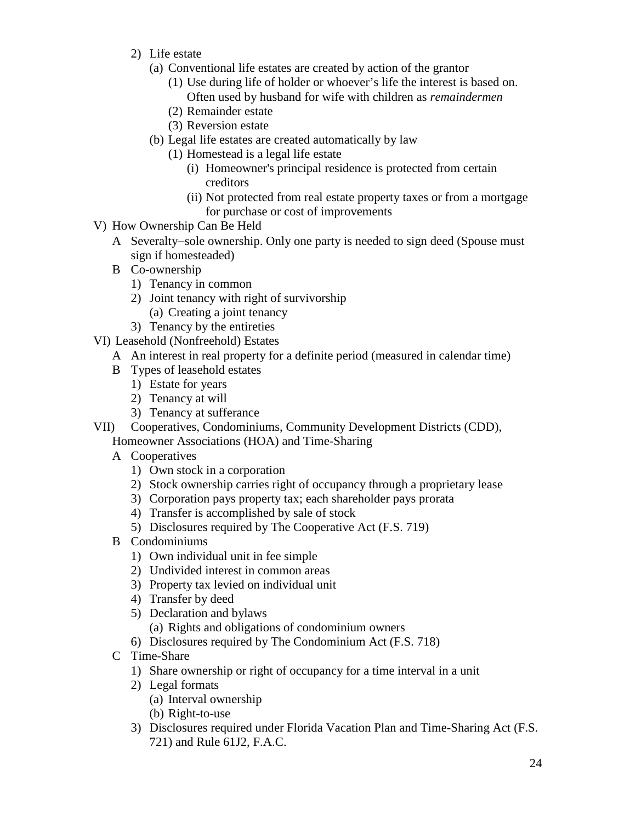- 2) Life estate
	- (a) Conventional life estates are created by action of the grantor
		- (1) Use during life of holder or whoever's life the interest is based on. Often used by husband for wife with children as *remaindermen*
		- (2) Remainder estate
		- (3) Reversion estate
	- (b) Legal life estates are created automatically by law
		- (1) Homestead is a legal life estate
			- (i) Homeowner's principal residence is protected from certain creditors
			- (ii) Not protected from real estate property taxes or from a mortgage for purchase or cost of improvements
- V) How Ownership Can Be Held
	- A Severalty−sole ownership. Only one party is needed to sign deed (Spouse must sign if homesteaded)
	- B Co-ownership
		- 1) Tenancy in common
		- 2) Joint tenancy with right of survivorship
			- (a) Creating a joint tenancy
		- 3) Tenancy by the entireties
- VI) Leasehold (Nonfreehold) Estates
	- A An interest in real property for a definite period (measured in calendar time)
	- B Types of leasehold estates
		- 1) Estate for years
		- 2) Tenancy at will
		- 3) Tenancy at sufferance
- VII) Cooperatives, Condominiums, Community Development Districts (CDD),
	- Homeowner Associations (HOA) and Time-Sharing
	- A Cooperatives
		- 1) Own stock in a corporation
		- 2) Stock ownership carries right of occupancy through a proprietary lease
		- 3) Corporation pays property tax; each shareholder pays prorata
		- 4) Transfer is accomplished by sale of stock
		- 5) Disclosures required by The Cooperative Act (F.S. 719)
	- B Condominiums
		- 1) Own individual unit in fee simple
		- 2) Undivided interest in common areas
		- 3) Property tax levied on individual unit
		- 4) Transfer by deed
		- 5) Declaration and bylaws (a) Rights and obligations of condominium owners
		- 6) Disclosures required by The Condominium Act (F.S. 718)
	- C Time-Share
		- 1) Share ownership or right of occupancy for a time interval in a unit
		- 2) Legal formats
			- (a) Interval ownership
			- (b) Right-to-use
		- 3) Disclosures required under Florida Vacation Plan and Time-Sharing Act (F.S. 721) and Rule 61J2, F.A.C.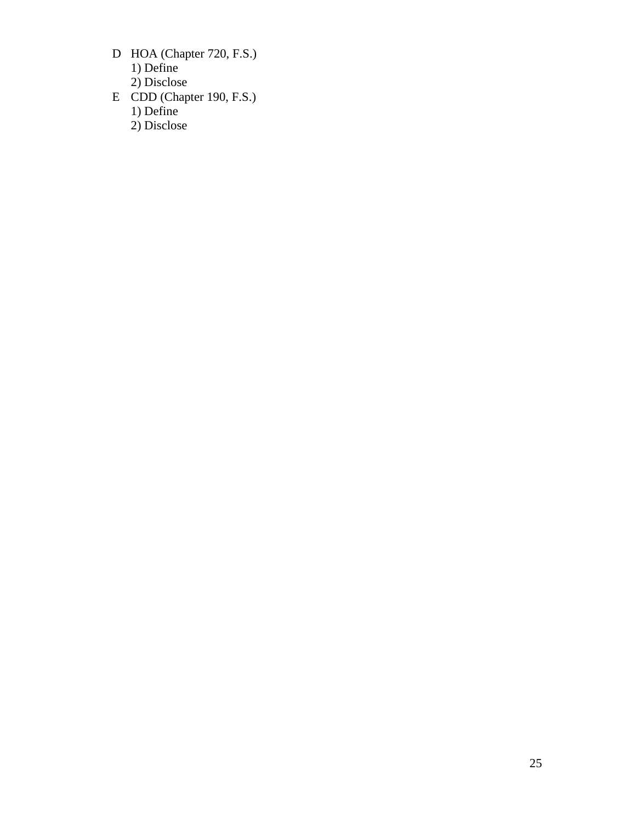- D HOA (Chapter 720, F.S.) 1) Define
	- 2) Disclose
- E CDD (Chapter 190, F.S.) 1) Define 2) Disclose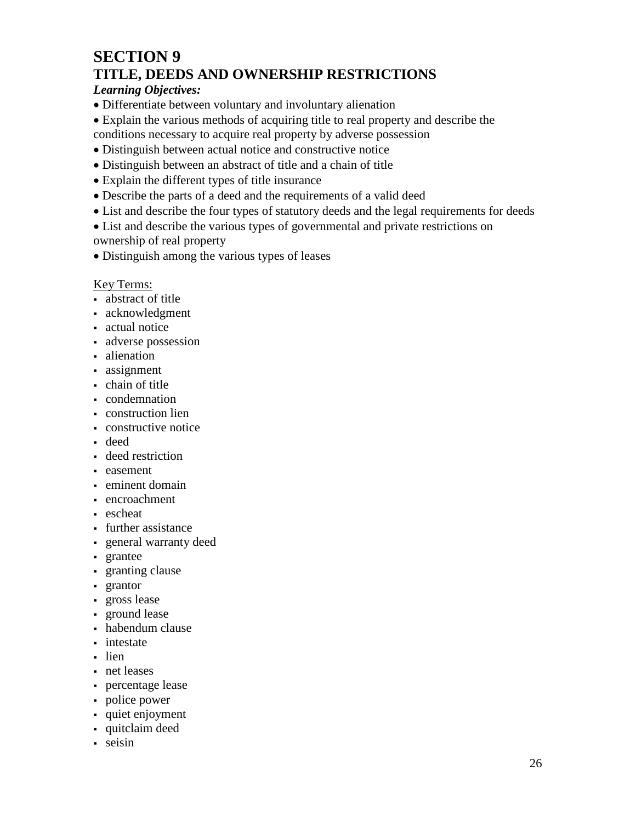### **SECTION 9 TITLE, DEEDS AND OWNERSHIP RESTRICTIONS**

#### *Learning Objectives:*

- Differentiate between voluntary and involuntary alienation
- Explain the various methods of acquiring title to real property and describe the
- conditions necessary to acquire real property by adverse possession
- Distinguish between actual notice and constructive notice
- Distinguish between an abstract of title and a chain of title
- Explain the different types of title insurance
- Describe the parts of a deed and the requirements of a valid deed
- List and describe the four types of statutory deeds and the legal requirements for deeds

• List and describe the various types of governmental and private restrictions on ownership of real property

• Distinguish among the various types of leases

#### Key Terms:

- abstract of title
- acknowledgment
- actual notice
- adverse possession
- alienation
- assignment
- chain of title
- **condemnation**
- construction lien
- constructive notice
- deed
- deed restriction
- easement
- eminent domain
- encroachment
- escheat
- further assistance
- general warranty deed
- grantee
- granting clause
- **grantor**
- gross lease
- ground lease
- habendum clause
- intestate
- lien
- net leases
- percentage lease
- police power
- quiet enjoyment
- quitclaim deed
- seisin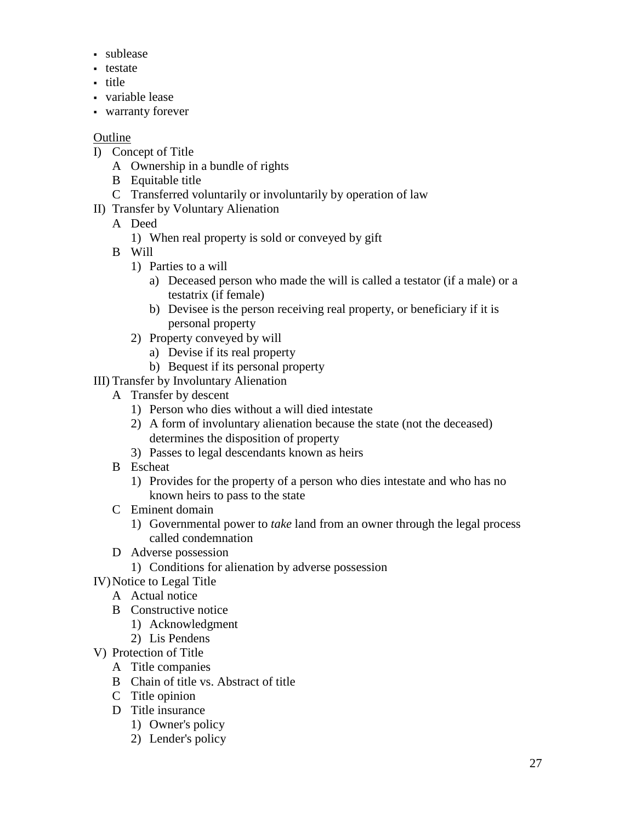- sublease
- testate
- title
- variable lease
- warranty forever

- I) Concept of Title
	- A Ownership in a bundle of rights
	- B Equitable title
	- C Transferred voluntarily or involuntarily by operation of law
- II) Transfer by Voluntary Alienation
	- A Deed
		- 1) When real property is sold or conveyed by gift
	- B Will
		- 1) Parties to a will
			- a) Deceased person who made the will is called a testator (if a male) or a testatrix (if female)
			- b) Devisee is the person receiving real property, or beneficiary if it is personal property
		- 2) Property conveyed by will
			- a) Devise if its real property
			- b) Bequest if its personal property
- III) Transfer by Involuntary Alienation
	- A Transfer by descent
		- 1) Person who dies without a will died intestate
		- 2) A form of involuntary alienation because the state (not the deceased) determines the disposition of property
		- 3) Passes to legal descendants known as heirs
	- B Escheat
		- 1) Provides for the property of a person who dies intestate and who has no known heirs to pass to the state
	- C Eminent domain
		- 1) Governmental power to *take* land from an owner through the legal process called condemnation
	- D Adverse possession
		- 1) Conditions for alienation by adverse possession
- IV)Notice to Legal Title
	- A Actual notice
	- B Constructive notice
		- 1) Acknowledgment
		- 2) Lis Pendens
- V) Protection of Title
	- A Title companies
	- B Chain of title vs. Abstract of title
	- C Title opinion
	- D Title insurance
		- 1) Owner's policy
		- 2) Lender's policy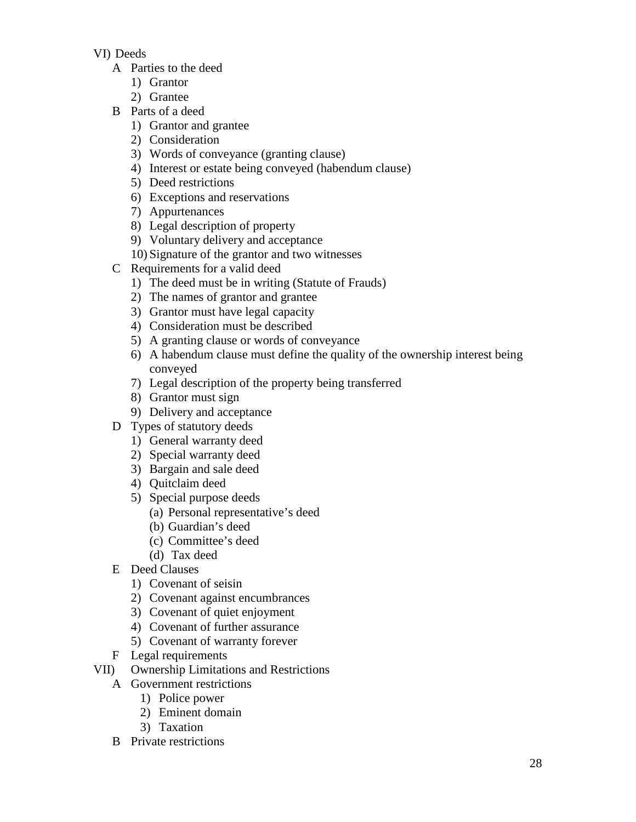#### VI) Deeds

- A Parties to the deed
	- 1) Grantor
	- 2) Grantee
- B Parts of a deed
	- 1) Grantor and grantee
	- 2) Consideration
	- 3) Words of conveyance (granting clause)
	- 4) Interest or estate being conveyed (habendum clause)
	- 5) Deed restrictions
	- 6) Exceptions and reservations
	- 7) Appurtenances
	- 8) Legal description of property
	- 9) Voluntary delivery and acceptance
	- 10) Signature of the grantor and two witnesses
- C Requirements for a valid deed
	- 1) The deed must be in writing (Statute of Frauds)
	- 2) The names of grantor and grantee
	- 3) Grantor must have legal capacity
	- 4) Consideration must be described
	- 5) A granting clause or words of conveyance
	- 6) A habendum clause must define the quality of the ownership interest being conveyed
	- 7) Legal description of the property being transferred
	- 8) Grantor must sign
	- 9) Delivery and acceptance
- D Types of statutory deeds
	- 1) General warranty deed
	- 2) Special warranty deed
	- 3) Bargain and sale deed
	- 4) Quitclaim deed
	- 5) Special purpose deeds
		- (a) Personal representative's deed
		- (b) Guardian's deed
		- (c) Committee's deed
		- (d) Tax deed
- E Deed Clauses
	- 1) Covenant of seisin
	- 2) Covenant against encumbrances
	- 3) Covenant of quiet enjoyment
	- 4) Covenant of further assurance
	- 5) Covenant of warranty forever
- F Legal requirements
- VII) Ownership Limitations and Restrictions
	- A Government restrictions
		- 1) Police power
		- 2) Eminent domain
		- 3) Taxation
	- B Private restrictions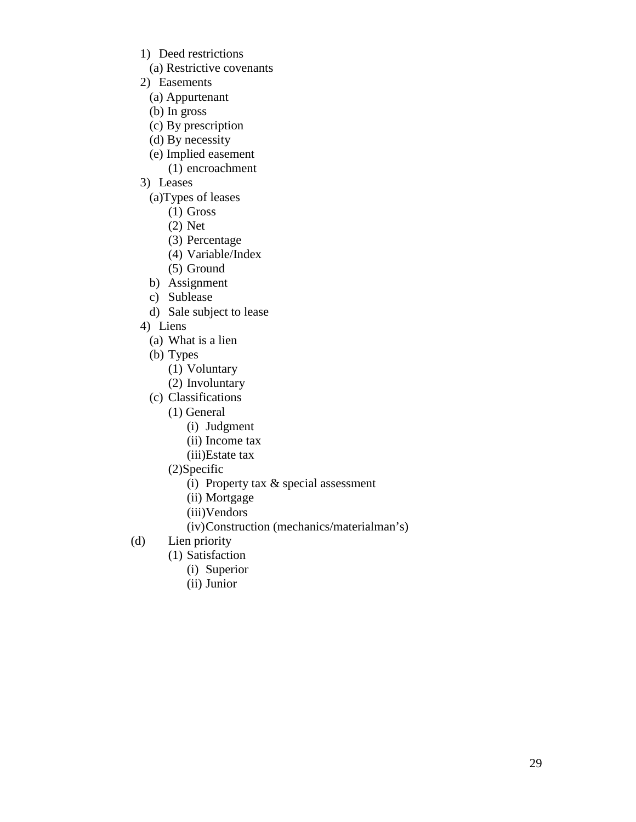- 1) Deed restrictions
	- (a) Restrictive covenants
- 2) Easements
	- (a) Appurtenant
	- (b) In gross
	- (c) By prescription
	- (d) By necessity
	- (e) Implied easement
	- (1) encroachment
- 3) Leases
	- (a)Types of leases
		- (1) Gross
		- (2) Net
		- (3) Percentage
		- (4) Variable/Index
		- (5) Ground
	- b) Assignment
	- c) Sublease
	- d) Sale subject to lease
- 4) Liens
	- (a) What is a lien
	- (b) Types
		- (1) Voluntary
		- (2) Involuntary
	- (c) Classifications
		- (1) General
			- (i) Judgment
			- (ii) Income tax
			- (iii)Estate tax
		- (2)Specific
			- (i) Property tax & special assessment
			- (ii) Mortgage
			- (iii)Vendors
			- (iv)Construction (mechanics/materialman's)
- (d) Lien priority
	- (1) Satisfaction
		- (i) Superior
		- (ii) Junior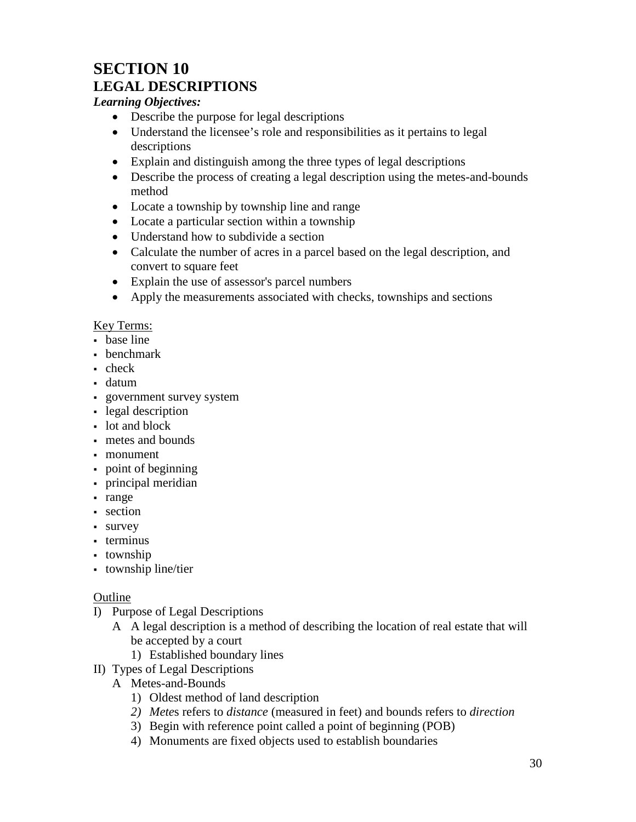## **SECTION 10 LEGAL DESCRIPTIONS**

#### *Learning Objectives:*

- Describe the purpose for legal descriptions
- Understand the licensee's role and responsibilities as it pertains to legal descriptions
- Explain and distinguish among the three types of legal descriptions
- Describe the process of creating a legal description using the metes-and-bounds method
- Locate a township by township line and range
- Locate a particular section within a township
- Understand how to subdivide a section
- Calculate the number of acres in a parcel based on the legal description, and convert to square feet
- Explain the use of assessor's parcel numbers
- Apply the measurements associated with checks, townships and sections

#### Key Terms:

- base line
- benchmark
- check
- datum
- government survey system
- legal description
- lot and block
- metes and bounds
- monument
- point of beginning
- principal meridian
- range
- section
- survey
- terminus
- township
- township line/tier

- I) Purpose of Legal Descriptions
	- A A legal description is a method of describing the location of real estate that will be accepted by a court
		- 1) Established boundary lines
- II) Types of Legal Descriptions
	- A Metes-and-Bounds
		- 1) Oldest method of land description
		- *2) Mete*s refers to *distance* (measured in feet) and bounds refers to *direction*
		- 3) Begin with reference point called a point of beginning (POB)
		- 4) Monuments are fixed objects used to establish boundaries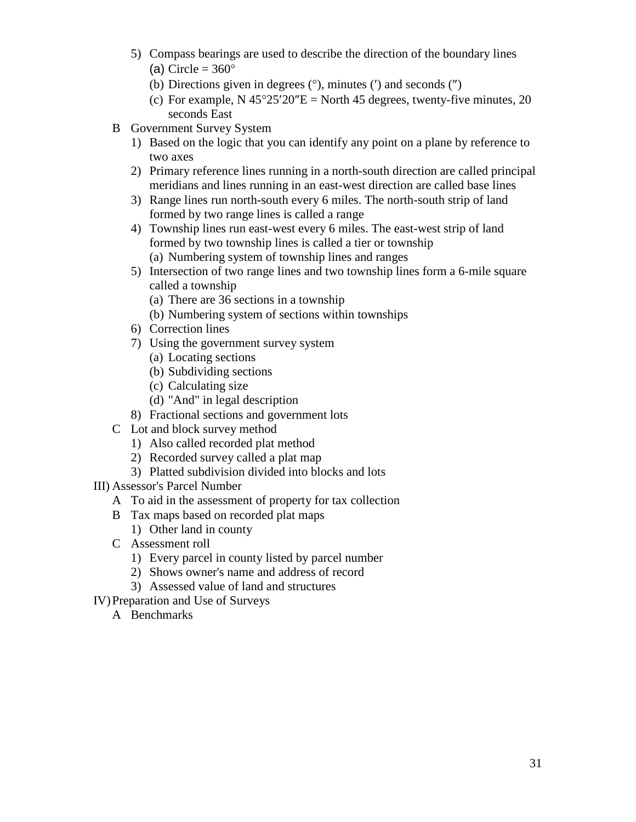- 5) Compass bearings are used to describe the direction of the boundary lines (a) Circle =  $360^\circ$ 
	- (b) Directions given in degrees (°), minutes (′) and seconds (″)
	- (c) For example, N  $45^{\circ}25'20''E =$  North 45 degrees, twenty-five minutes, 20 seconds East
- B Government Survey System
	- 1) Based on the logic that you can identify any point on a plane by reference to two axes
	- 2) Primary reference lines running in a north-south direction are called principal meridians and lines running in an east-west direction are called base lines
	- 3) Range lines run north-south every 6 miles. The north-south strip of land formed by two range lines is called a range
	- 4) Township lines run east-west every 6 miles. The east-west strip of land formed by two township lines is called a tier or township (a) Numbering system of township lines and ranges
	- 5) Intersection of two range lines and two township lines form a 6-mile square called a township
		- (a) There are 36 sections in a township
		- (b) Numbering system of sections within townships
	- 6) Correction lines
	- 7) Using the government survey system
		- (a) Locating sections
		- (b) Subdividing sections
		- (c) Calculating size
		- (d) "And" in legal description
	- 8) Fractional sections and government lots
- C Lot and block survey method
	- 1) Also called recorded plat method
	- 2) Recorded survey called a plat map
	- 3) Platted subdivision divided into blocks and lots
- III) Assessor's Parcel Number
	- A To aid in the assessment of property for tax collection
	- B Tax maps based on recorded plat maps
		- 1) Other land in county
	- C Assessment roll
		- 1) Every parcel in county listed by parcel number
		- 2) Shows owner's name and address of record
		- 3) Assessed value of land and structures
- IV)Preparation and Use of Surveys
	- A Benchmarks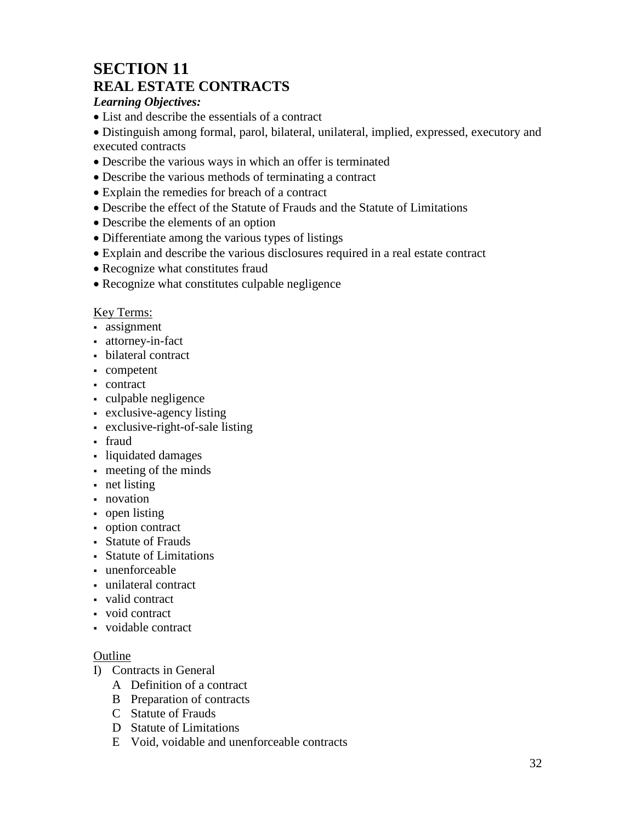## **SECTION 11 REAL ESTATE CONTRACTS**

#### *Learning Objectives:*

• List and describe the essentials of a contract

• Distinguish among formal, parol, bilateral, unilateral, implied, expressed, executory and executed contracts

- Describe the various ways in which an offer is terminated
- Describe the various methods of terminating a contract
- Explain the remedies for breach of a contract
- Describe the effect of the Statute of Frauds and the Statute of Limitations
- Describe the elements of an option
- Differentiate among the various types of listings
- Explain and describe the various disclosures required in a real estate contract
- Recognize what constitutes fraud
- Recognize what constitutes culpable negligence

#### Key Terms:

- assignment
- attorney-in-fact
- bilateral contract
- competent
- contract
- culpable negligence
- exclusive-agency listing
- exclusive-right-of-sale listing
- fraud
- liquidated damages
- meeting of the minds
- net listing
- novation
- open listing
- option contract
- Statute of Frauds
- Statute of Limitations
- unenforceable
- unilateral contract
- valid contract
- void contract
- voidable contract

- I) Contracts in General
	- A Definition of a contract
	- B Preparation of contracts
	- C Statute of Frauds
	- D Statute of Limitations
	- E Void, voidable and unenforceable contracts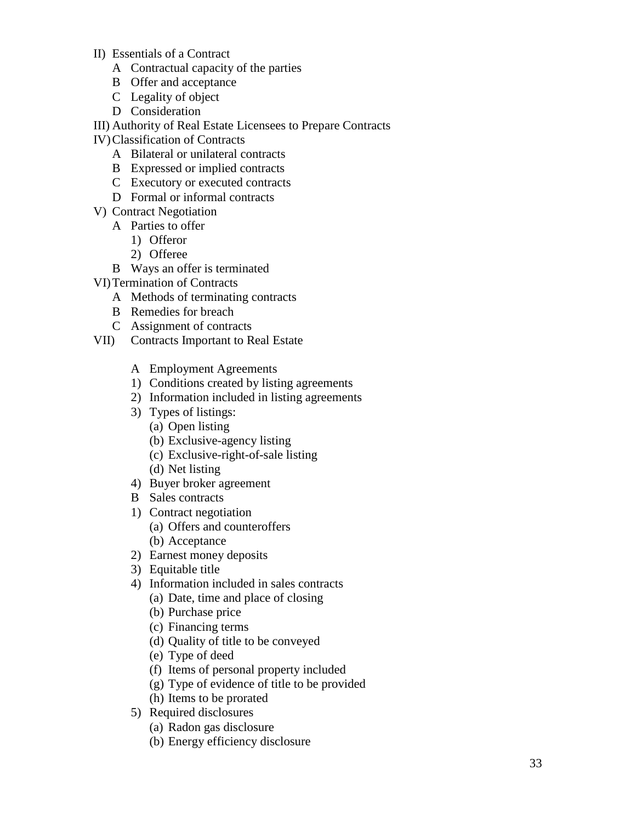- II) Essentials of a Contract
	- A Contractual capacity of the parties
	- B Offer and acceptance
	- C Legality of object
	- D Consideration

III) Authority of Real Estate Licensees to Prepare Contracts

IV)Classification of Contracts

- A Bilateral or unilateral contracts
- B Expressed or implied contracts
- C Executory or executed contracts
- D Formal or informal contracts
- V) Contract Negotiation
	- A Parties to offer
		- 1) Offeror
		- 2) Offeree
	- B Ways an offer is terminated
- VI)Termination of Contracts
	- A Methods of terminating contracts
	- B Remedies for breach
	- C Assignment of contracts
- VII) Contracts Important to Real Estate
	- A Employment Agreements
	- 1) Conditions created by listing agreements
	- 2) Information included in listing agreements
	- 3) Types of listings:
		- (a) Open listing
		- (b) Exclusive -agency listing
		- (c) Exclusive -right -of-sale listing
		- (d) Net listing
	- 4) Buyer broker agreement
	- B Sales contracts
	- 1) Contract negotiation
		- (a) Offers and counteroffers
		- (b) Acceptance
	- 2) Earnest money deposits
	- 3) Equitable title
	- 4) Information included in sales contracts
		- (a) Date, time and place of closing
		- (b) Purchase price
		- (c) Financing terms
		- (d) Quality of title to be conveyed
		- (e) Type of deed
		- (f) Items of personal property included
		- (g) Type of evidence of title to be provided
		- (h) Items to be prorated
	- 5) Required disclosures
		- (a) Radon gas disclosure
		- (b) Energy efficiency disclosure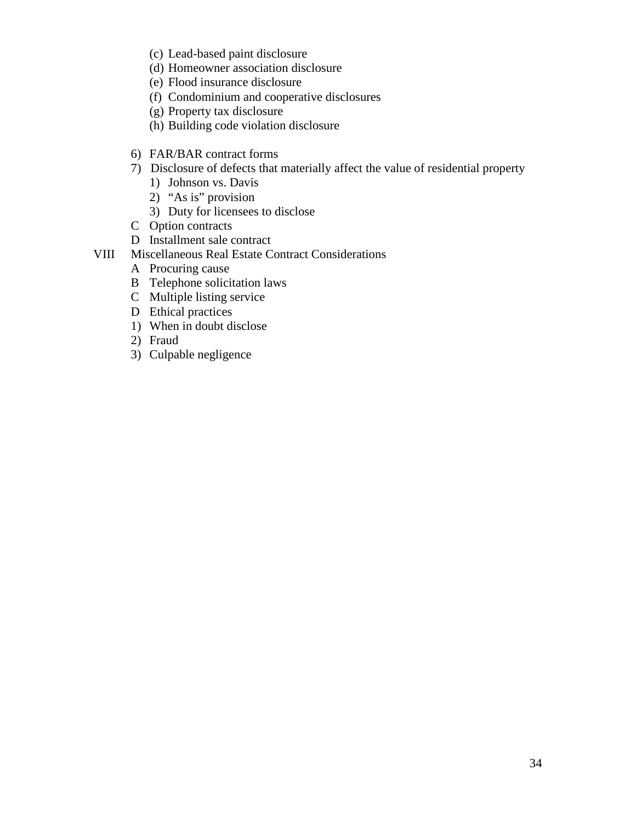- (c) Lead-based paint disclosure
- (d) Homeowner association disclosure
- (e) Flood insurance disclosure
- (f) Condominium and cooperative disclosures
- (g) Property tax disclosure
- (h) Building code violation disclosure
- 6) FAR/BAR contract forms
- 7) Disclosure of defects that materially affect the value of residential property
	- 1) Johnson vs. Davis
	- 2) "As is" provision
	- 3) Duty for licensees to disclose
- C Option contracts
- D Installment sale contract
- VIII Miscellaneous Real Estate Contract Considerations
	- A Procuring cause
	- B Telephone solicitation laws
	- C Multiple listing service
	- D Ethical practices
	- 1) When in doubt disclose
	- 2) Fraud
	- 3) Culpable negligence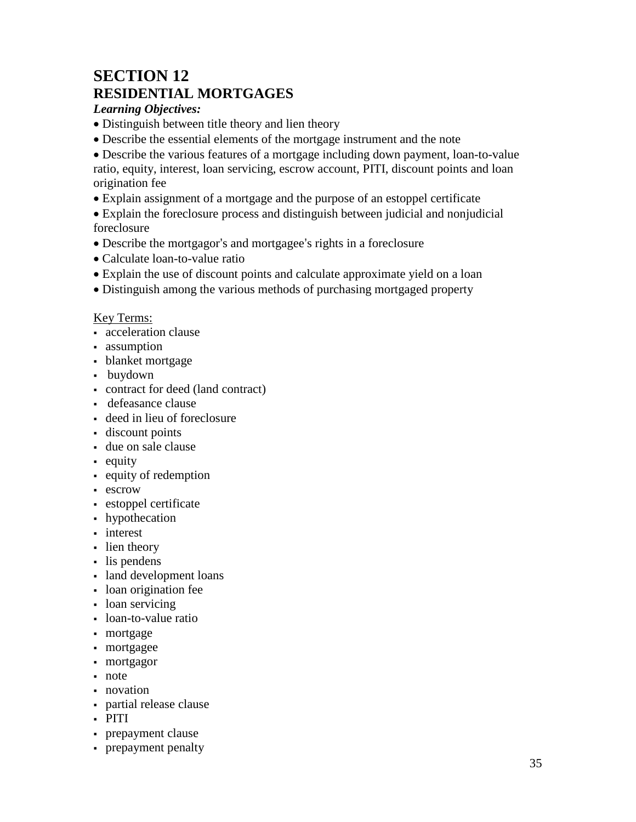## **SECTION 12 RESIDENTIAL MORTGAGES**

*Learning Objectives:*

- Distinguish between title theory and lien theory
- Describe the essential elements of the mortgage instrument and the note

• Describe the various features of a mortgage including down payment, loan-to-value ratio, equity, interest, loan servicing, escrow account, PITI, discount points and loan origination fee

• Explain assignment of a mortgage and the purpose of an estoppel certificate

• Explain the foreclosure process and distinguish between judicial and nonjudicial foreclosure

- Describe the mortgagor's and mortgagee's rights in a foreclosure
- Calculate loan-to-value ratio
- Explain the use of discount points and calculate approximate yield on a loan
- Distinguish among the various methods of purchasing mortgaged property

### Key Terms:

- acceleration clause
- assumption
- blanket mortgage
- buydown
- contract for deed (land contract)
- defeasance clause
- deed in lieu of foreclosure
- discount points
- due on sale clause
- equity
- equity of redemption
- **escrow**
- estoppel certificate
- hypothecation
- interest
- lien theory
- lis pendens
- land development loans
- loan origination fee
- loan servicing
- loan-to-value ratio
- mortgage
- mortgagee
- mortgagor
- note
- novation
- partial release clause
- PITI
- prepayment clause
- prepayment penalty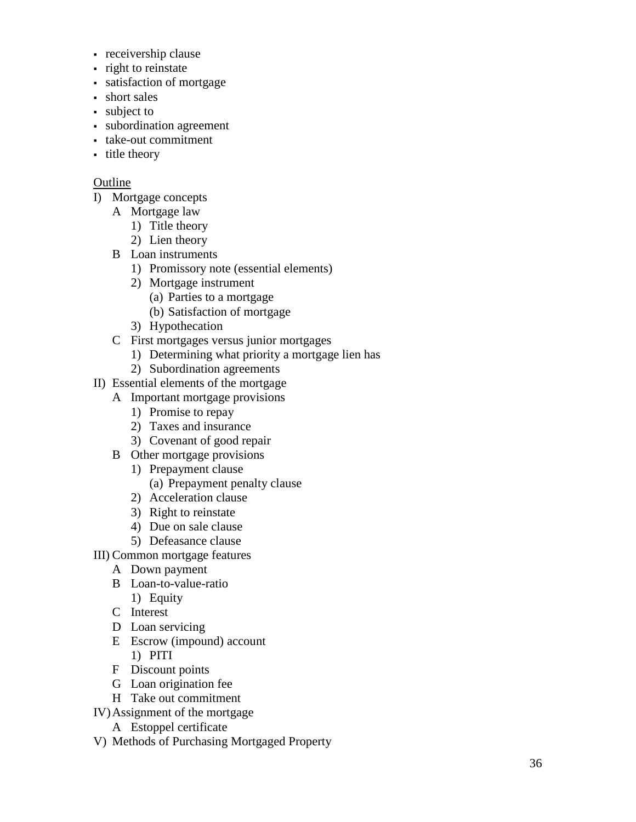- receivership clause
- right to reinstate
- satisfaction of mortgage
- short sales
- subject to
- subordination agreement
- take-out commitment
- itle theory

- I) Mortgage concepts
	- A Mortgage law
		- 1) Title theory
		- 2) Lien theory
	- B Loan instruments
		- 1) Promissory note (essential elements )
		- 2) Mortgage instrument
			- (a) Parties to a mortgage
			- (b) Satisfaction of mortgage
		- 3) Hypothecation
	- C First mortgages versus junior mortgages
		- 1) Determining what priority a mortgage lien has
		- 2) Subordination agreements
- II) Essential elements of the mortgage
	- A Important mortgage provisions
		- 1) Promise to repay
		- 2) Taxes and insurance
		- 3) Covenant of good repair
	- B Other mortgage provisions
		- 1) Prepayment clause (a) Prepayment penalty clause
		- 2) Acceleration clause
		- 3) Right to reinstate
		- 4) Due on sale clause
		- 5) Defeasance clause
- III) Common mortgage features
	- A Down payment
	- B Loan-to-value-ratio
		- 1) Equity
	- C Interest
	- D Loan servicing
	- E Escrow (impound) account 1) PITI
	- F Discount points
	- G Loan origination fee
	- H Take out commitment
- IV)Assignment of the mortgage
	- A Estoppel certificate
- V) Methods of Purchasing Mortgaged Property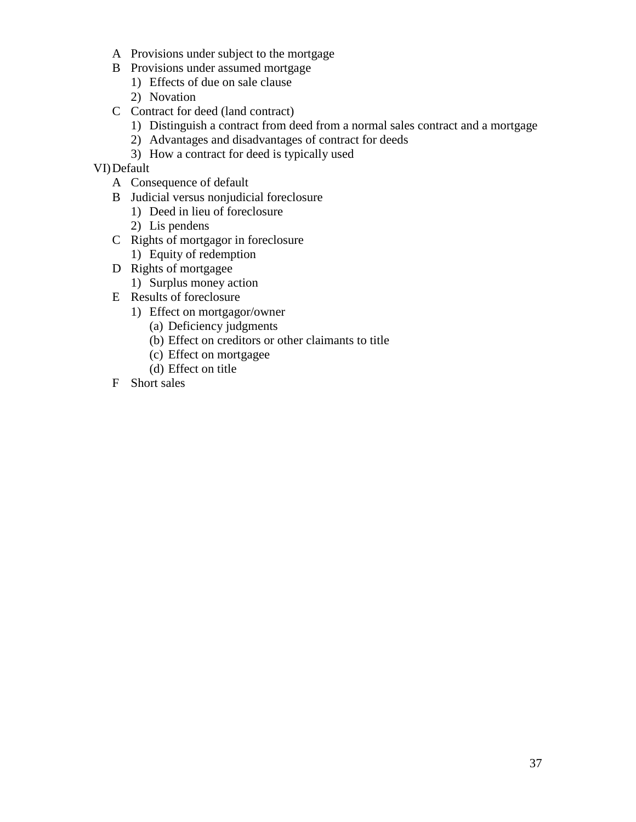- A Provisions under subject to the mortgage
- B Provisions under assumed mortgage
	- 1) Effects of due on sale clause
	- 2) Novation
- C Contract for deed (land contract)
	- 1) Distinguish a contract from deed from a normal sales contract and a mortgage
	- 2) Advantages and disadvantages of contract for deeds
	- 3) How a contract for deed is typically used

VI)Default

- A Consequence of default
- B Judicial versus nonjudicial foreclosure
	- 1) Deed in lieu of foreclosure
	- 2) Lis pendens
- C Rights of mortgagor in foreclosure 1) Equity of redemption
- D Rights of mortgagee
	- 1) Surplus money action
- E Results of foreclosure
	- 1) Effect on mortgagor/owner
		- (a) Deficiency judgments
		- (b) Effect on creditors or other claimants to title
		- (c) Effect on mortgagee
		- (d) Effect on title
- F Short sales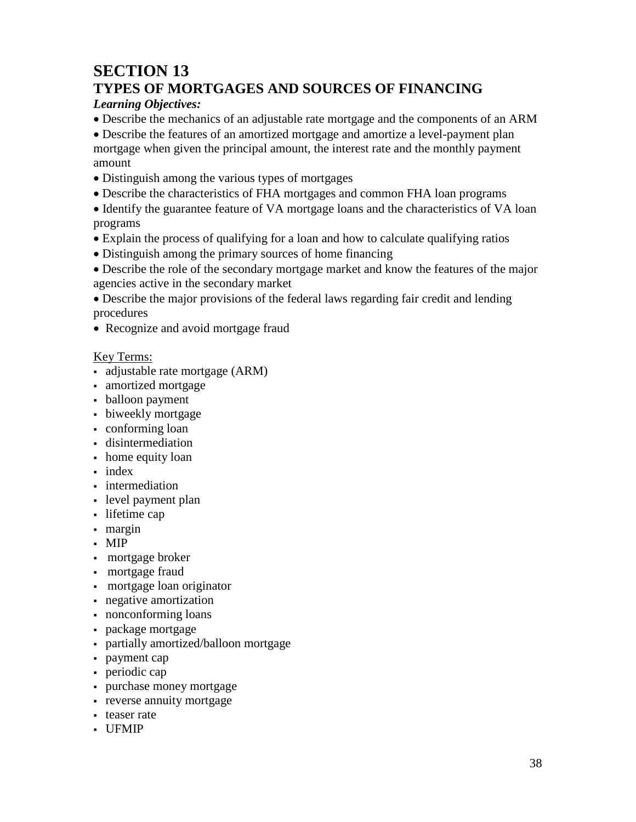## **SECTION 13 TYPES OF MORTGAGES AND SOURCES OF FINANCING**

### *Learning Objectives:*

• Describe the mechanics of an adjustable rate mortgage and the components of an ARM

• Describe the features of an amortized mortgage and amortize a level-payment plan mortgage when given the principal amount, the interest rate and the monthly payment amount

- Distinguish among the various types of mortgages
- Describe the characteristics of FHA mortgages and common FHA loan programs

• Identify the guarantee feature of VA mortgage loans and the characteristics of VA loan programs

- Explain the process of qualifying for a loan and how to calculate qualifying ratios
- Distinguish among the primary sources of home financing

• Describe the role of the secondary mortgage market and know the features of the major agencies active in the secondary market

• Describe the major provisions of the federal laws regarding fair credit and lending procedures

• Recognize and avoid mortgage fraud

### Key Terms:

- adjustable rate mortgage (ARM)
- amortized mortgage
- balloon payment
- biweekly mortgage
- conforming loan
- disintermediation
- home equity loan
- index
- intermediation
- level payment plan
- lifetime cap
- margin
- MIP
- mortgage broker
- mortgage fraud
- mortgage loan originator
- negative amortization
- nonconforming loans
- package mortgage
- partially amortized/balloon mortgage
- payment cap
- periodic cap
- purchase money mortgage
- **reverse annuity mortgage**
- teaser rate
- UFMIP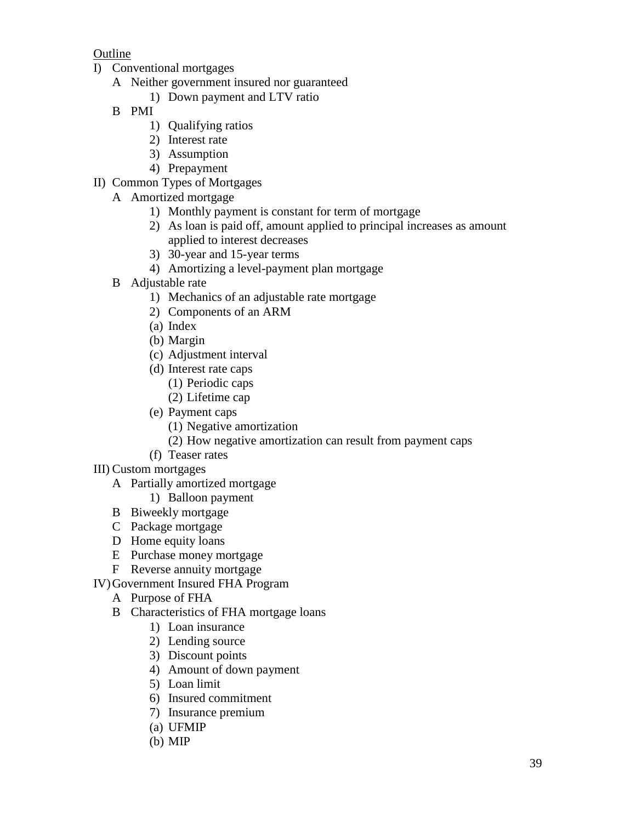- I) Conventional mortgages
	- A Neither government insured nor guaranteed
		- 1) Down payment and LTV ratio
		- B PMI
			- 1) Qualifying ratios
			- 2) Interest rate
			- 3) Assumption
			- 4) Prepayment
- II) Common Types of Mortgages
	- A Amortized mortgage
		- 1) Monthly payment is constant for term of mortgage
		- 2) As loan is paid off, amount applied to principal increases as amount applied to interest decreases
		- 3) 30-year and 15-year terms
		- 4) Amortizing a level-payment plan mortgage
	- B Adjustable rate
		- 1) Mechanics of an adjustable rate mortgage
		- 2) Components of an ARM
		- (a) Index
		- (b) Margin
		- (c) Adjustment interval
		- (d) Interest rate caps
			- (1) Periodic caps
			- (2) Lifetime cap
		- (e) Payment caps
			- (1) Negative amortization
			- (2) How negative amortization can result from payment caps
		- (f) Teaser rates
- III) Custom mortgages
	- A Partially amortized mortgage
		- 1) Balloon payment
	- B Biweekly mortgage
	- C Package mortgage
	- D Home equity loans
	- E Purchase money mortgage
	- F Reverse annuity mortgage
- IV)Government Insured FHA Program
	- A Purpose of FHA
	- B Characteristics of FHA mortgage loans
		- 1) Loan insurance
		- 2) Lending source
		- 3) Discount points
		- 4) Amount of down payment
		- 5) Loan limit
		- 6) Insured commitment
		- 7) Insurance premium
		- (a) UFMIP
		- (b) MIP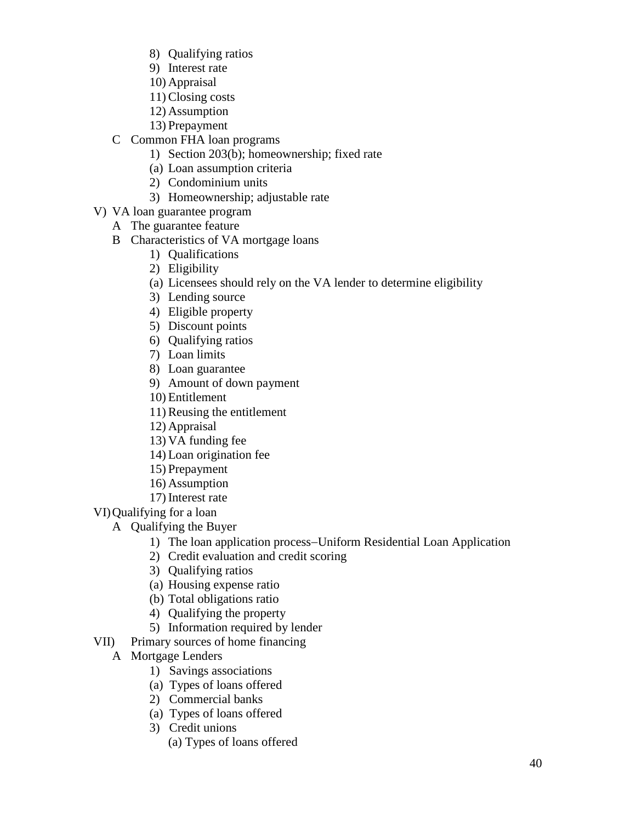- 8) Qualifying ratios
- 9) Interest rate
- 10) Appraisal
- 11) Closing costs
- 12) Assumption
- 13) Prepayment
- C Common FHA loan programs
	- 1) Section 203(b); homeownership; fixed rate
	- (a) Loan assumption criteria
	- 2) Condominium units
	- 3) Homeownership; adjustable rate
- V) VA loan guarantee program
	- A The guarantee feature
	- B Characteristics of VA mortgage loans
		- 1) Qualifications
		- 2) Eligibility
		- (a) Licensees should rely on the VA lender to determine eligibility
		- 3) Lending source
		- 4) Eligible property
		- 5) Discount points
		- 6) Qualifying ratios
		- 7) Loan limits
		- 8) Loan guarantee
		- 9) Amount of down payment
		- 10) Entitlement
		- 11) Reusing the entitlement
		- 12) Appraisal
		- 13) VA funding fee
		- 14) Loan origination fee
		- 15) Prepayment
		- 16) Assumption
		- 17) Interest rate

VI)Qualifying for a loan

- A Qualifying the Buyer
	- 1) The loan application process−Uniform Residential Loan Application
	- 2) Credit evaluation and credit scoring
	- 3) Qualifying ratios
	- (a) Housing expense ratio
	- (b) Total obligations ratio
	- 4) Qualifying the property
	- 5) Information required by lender
- VII) Primary sources of home financing
	- A Mortgage Lenders
		- 1) Savings associations
		- (a) Types of loans offered
		- 2) Commercial banks
		- (a) Types of loans offered
		- 3) Credit unions
			- (a) Types of loans offered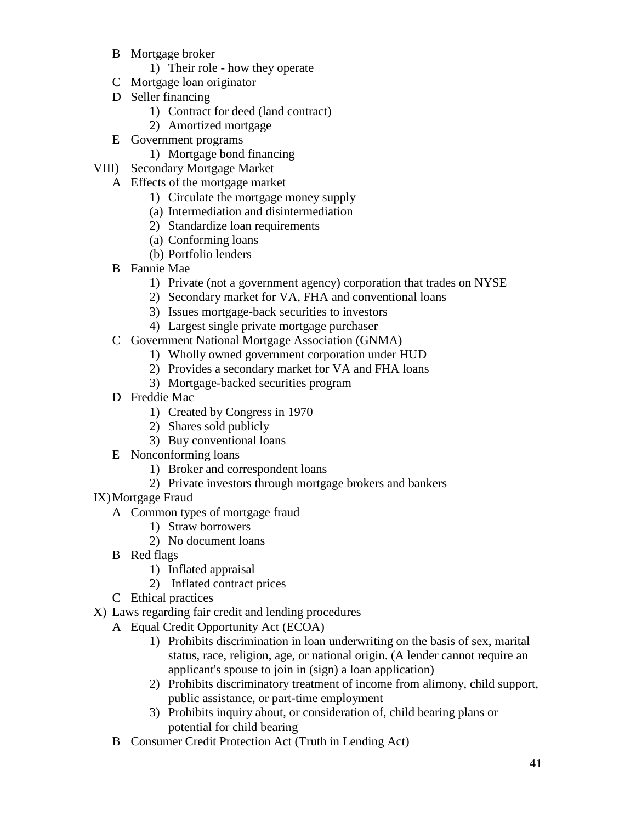- B Mortgage broker
	- 1) Their role how they operate
- C Mortgage loan originator
- D Seller financing
	- 1) Contract for deed (land contract)
	- 2) Amortized mortgage
- E Government programs
	- 1) Mortgage bond financing
- VIII) Secondary Mortgage Market
	- A Effects of the mortgage market
		- 1) Circulate the mortgage money supply
		- (a) Intermediation and disintermediation
		- 2) Standardize loan requirements
		- (a) Conforming loans
		- (b) Portfolio lenders
		- B Fannie Mae
			- 1) Private (not a government agency) corporation that trades on NYSE
			- 2) Secondary market for VA, FHA and conventional loans
			- 3) Issues mortgage-back securities to investors
			- 4) Largest single private mortgage purchaser
		- C Government National Mortgage Association (GNMA)
			- 1) Wholly owned government corporation under HUD
			- 2) Provides a secondary market for VA and FHA loans
			- 3) Mortgage-backed securities program
		- D Freddie Mac
			- 1) Created by Congress in 1970
			- 2) Shares sold publicly
			- 3) Buy conventional loans
		- E Nonconforming loans
			- 1) Broker and correspondent loans
			- 2) Private investors through mortgage brokers and bankers
- IX)Mortgage Fraud
	- A Common types of mortgage fraud
		- 1) Straw borrowers
		- 2) No document loans
	- B Red flags
		- 1) Inflated appraisal
		- 2) Inflated contract prices
	- C Ethical practices
- X) Laws regarding fair credit and lending procedures
	- A Equal Credit Opportunity Act (ECOA)
		- 1) Prohibits discrimination in loan underwriting on the basis of sex, marital status, race, religion, age, or national origin. (A lender cannot require an applicant's spouse to join in (sign) a loan application)
		- 2) Prohibits discriminatory treatment of income from alimony, child support, public assistance, or part-time employment
		- 3) Prohibits inquiry about, or consideration of, child bearing plans or potential for child bearing
		- B Consumer Credit Protection Act (Truth in Lending Act)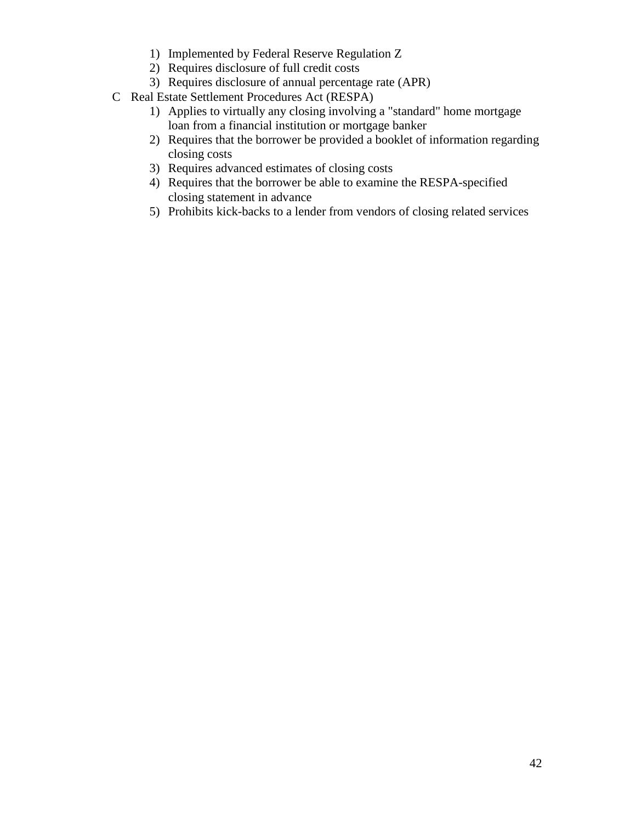- 1) Implemented by Federal Reserve Regulation Z
- 2) Requires disclosure of full credit costs
- 3) Requires disclosure of annual percentage rate (APR)
- C Real Estate Settlement Procedures Act (RESPA)
	- 1) Applies to virtually any closing involving a "standard" home mortgage loan from a financial institution or mortgage banker
	- 2) Requires that the borrower be provided a booklet of information regarding closing costs
	- 3) Requires advanced estimates of closing costs
	- 4) Requires that the borrower be able to examine the RESPA-specified closing statement in advance
	- 5) Prohibits kick-backs to a lender from vendors of closing related services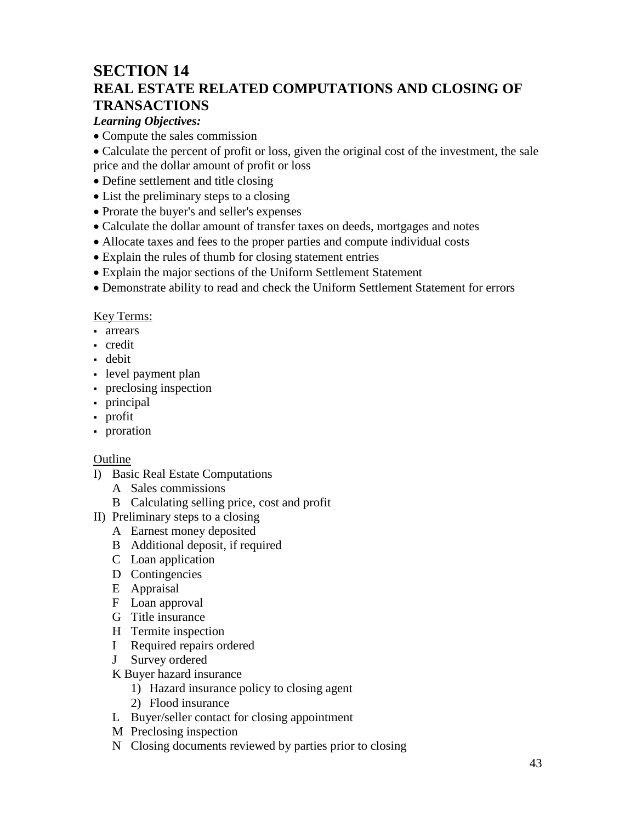## **SECTION 14 REAL ESTATE RELATED COMPUTATIONS AND CLOSING OF TRANSACTIONS**

#### *Learning Objectives:*

- Compute the sales commission
- Calculate the percent of profit or loss, given the original cost of the investment, the sale price and the dollar amount of profit or loss
- Define settlement and title closing
- List the preliminary steps to a closing
- Prorate the buyer's and seller's expenses
- Calculate the dollar amount of transfer taxes on deeds, mortgages and notes
- Allocate taxes and fees to the proper parties and compute individual costs
- Explain the rules of thumb for closing statement entries
- Explain the major sections of the Uniform Settlement Statement
- Demonstrate ability to read and check the Uniform Settlement Statement for errors

#### Key Terms:

- arrears
- credit
- debit
- level payment plan
- preclosing inspection
- principal
- profit
- proration

#### Outline

- I) Basic Real Estate Computations
	- A Sales commissions
	- B Calculating selling price, cost and profit
- II) Preliminary steps to a closing
	- A Earnest money deposited
	- B Additional deposit, if required
	- C Loan application
	- D Contingencies
	- E Appraisal
	- F Loan approval
	- G Title insurance
	- H Termite inspection
	- I Required repairs ordered
	- J Survey ordered

#### K Buyer hazard insurance

- 1) Hazard insurance policy to closing agent
- 2) Flood insurance
- L Buyer/seller contact for closing appointment
- M Preclosing inspection
- N Closing documents reviewed by parties prior to closing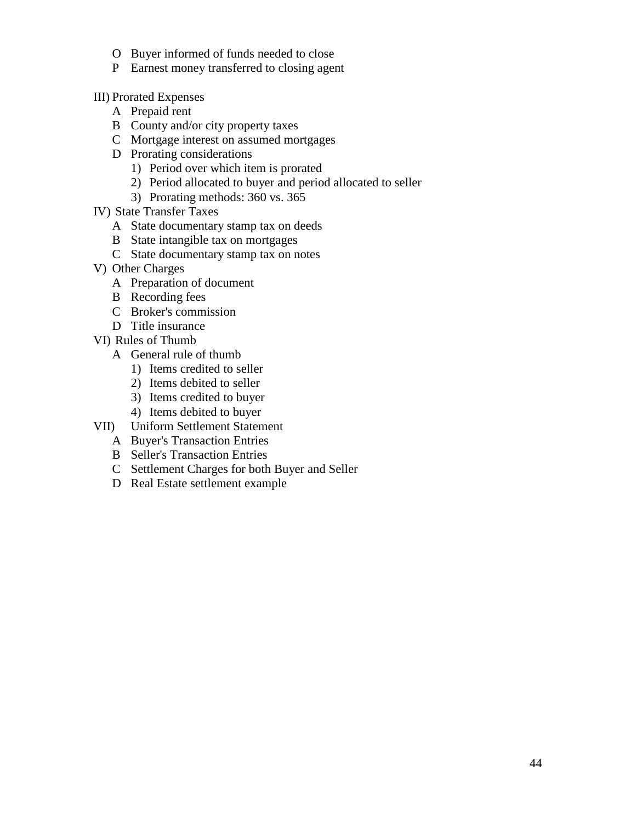- O Buyer informed of funds needed to close
- P Earnest money transferred to closing agent
- III) Prorated Expenses
	- A Prepaid rent
	- B County and/or city property taxes
	- C Mortgage interest on assumed mortgages
	- D Prorating considerations
		- 1) Period over which item is prorated
		- 2) Period allocated to buyer and period allocated to seller
		- 3) Prorating methods: 360 vs. 365
- IV) State Transfer Taxes
	- A State documentary stamp tax on deeds
	- B State intangible tax on mortgages
	- C State documentary stamp tax on notes
- V) Other Charges
	- A Preparation of document
	- B Recording fees
	- C Broker's commission
	- D Title insurance
- VI) Rules of Thumb
	- A General rule of thumb
		- 1) Items credited to seller
		- 2) Items debited to seller
		- 3) Items credited to buyer
		- 4) Items debited to buyer
- VII) Uniform Settlement Statement
	- A Buyer's Transaction Entries
	- B Seller's Transaction Entries
	- C Settlement Charges for both Buyer and Seller
	- D Real Estate settlement example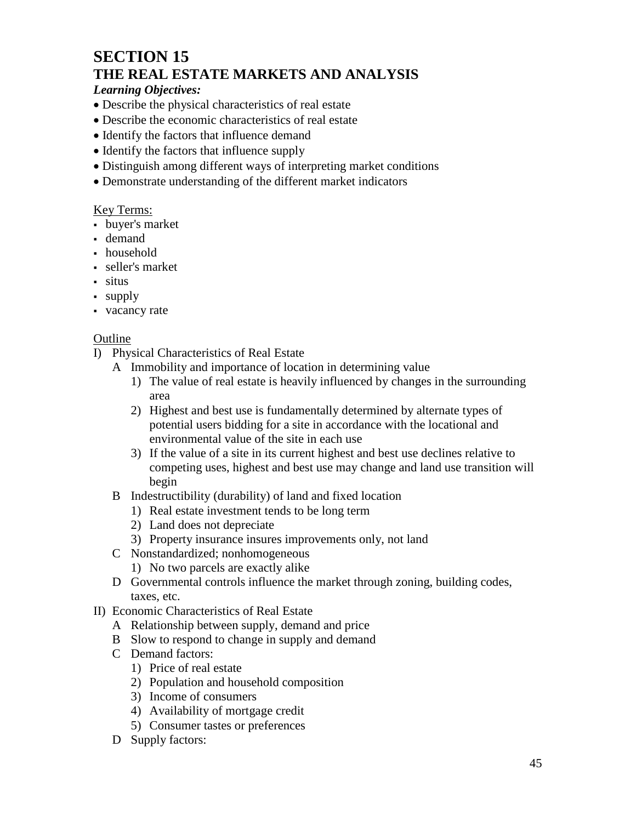### **SECTION 15 THE REAL ESTATE MARKETS AND ANALYSIS**

#### *Learning Objectives:*

- Describe the physical characteristics of real estate
- Describe the economic characteristics of real estate
- Identify the factors that influence demand
- Identify the factors that influence supply
- Distinguish among different ways of interpreting market conditions
- Demonstrate understanding of the different market indicators

#### Key Terms:

- buyer's market
- demand
- household
- seller's market
- situs
- supply
- vacancy rate

- I) Physical Characteristics of Real Estate
	- A Immobility and importance of location in determining value
		- 1) The value of real estate is heavily influenced by changes in the surrounding area
		- 2) Highest and best use is fundamentally determined by alternate types of potential users bidding for a site in accordance with the locational and environmental value of the site in each use
		- 3) If the value of a site in its current highest and best use declines relative to competing uses, highest and best use may change and land use transition will begin
	- B Indestructibility (durability) of land and fixed location
		- 1) Real estate investment tends to be long term
		- 2) Land does not depreciate
		- 3) Property insurance insures improvements only, not land
	- C Nonstandardized; nonhomogeneous
		- 1) No two parcels are exactly alike
	- D Governmental controls influence the market through zoning, building codes, taxes, etc.
- II) Economic Characteristics of Real Estate
	- A Relationship between supply, demand and price
	- B Slow to respond to change in supply and demand
	- C Demand factors:
		- 1) Price of real estate
		- 2) Population and household composition
		- 3) Income of consumers
		- 4) Availability of mortgage credit
		- 5) Consumer tastes or preferences
	- D Supply factors: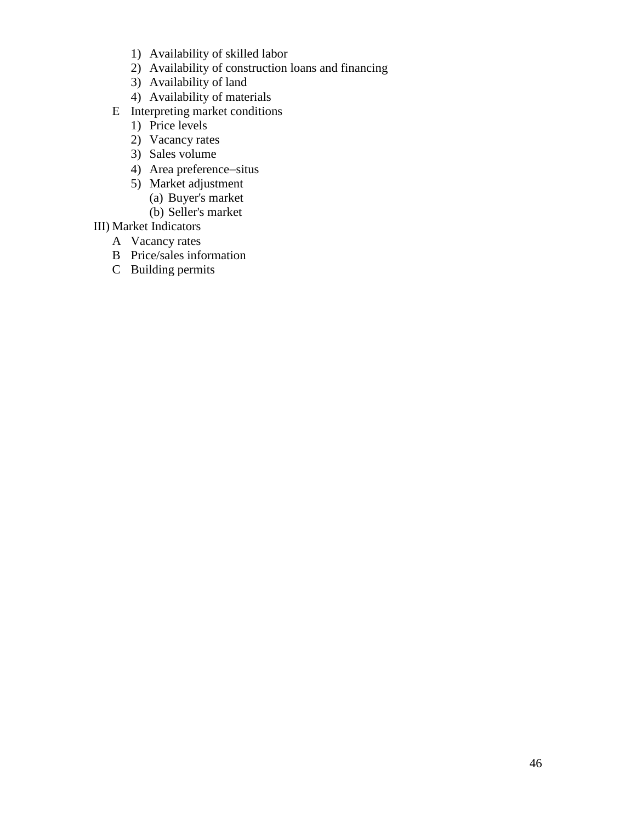- 1) Availability of skilled labor
- 2) Availability of construction loans and financing
- 3) Availability of land
- 4) Availability of materials
- E Interpreting market conditions
	- 1) Price levels
	- 2) Vacancy rates
	- 3) Sales volume
	- 4) Area preference−situs
	- 5) Market adjustment
		- (a) Buyer's market
		- (b) Seller's market
- III) Market Indicators
	- A Vacancy rates
	- B Price/sales information
	- C Building permits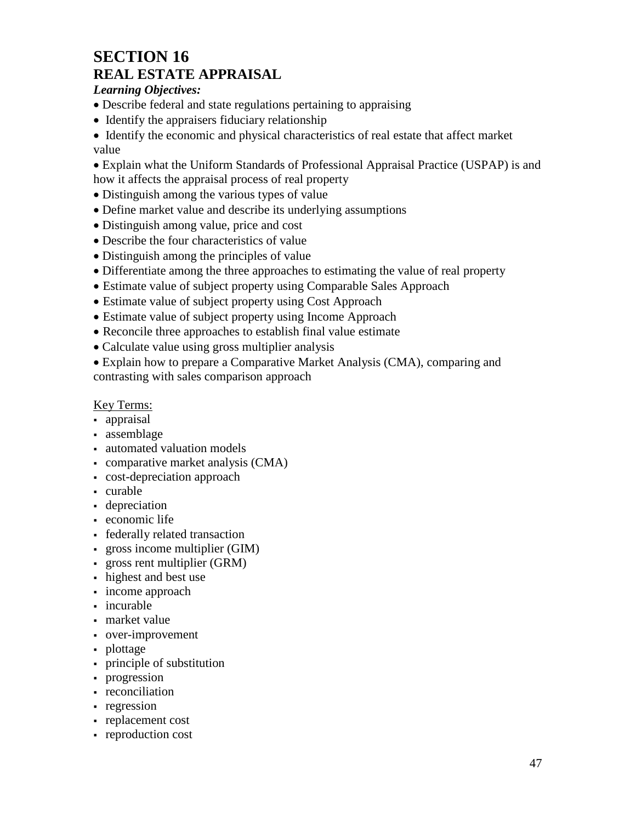### **SECTION 16 REAL ESTATE APPRAISAL**

#### *Learning Objectives:*

- Describe federal and state regulations pertaining to appraising
- Identify the appraisers fiduciary relationship

• Identify the economic and physical characteristics of real estate that affect market value

• Explain what the Uniform Standards of Professional Appraisal Practice (USPAP) is and how it affects the appraisal process of real property

- Distinguish among the various types of value
- Define market value and describe its underlying assumptions
- Distinguish among value, price and cost
- Describe the four characteristics of value
- Distinguish among the principles of value
- Differentiate among the three approaches to estimating the value of real property
- Estimate value of subject property using Comparable Sales Approach
- Estimate value of subject property using Cost Approach
- Estimate value of subject property using Income Approach
- Reconcile three approaches to establish final value estimate
- Calculate value using gross multiplier analysis

• Explain how to prepare a Comparative Market Analysis (CMA), comparing and contrasting with sales comparison approach

#### Key Terms:

- appraisal
- assemblage
- automated valuation models
- comparative market analysis (CMA)
- cost-depreciation approach
- curable
- depreciation
- economic life
- federally related transaction
- gross income multiplier (GIM)
- gross rent multiplier (GRM)
- highest and best use
- income approach
- incurable
- market value
- over-improvement
- plottage
- principle of substitution
- progression
- reconciliation
- regression
- replacement cost
- reproduction cost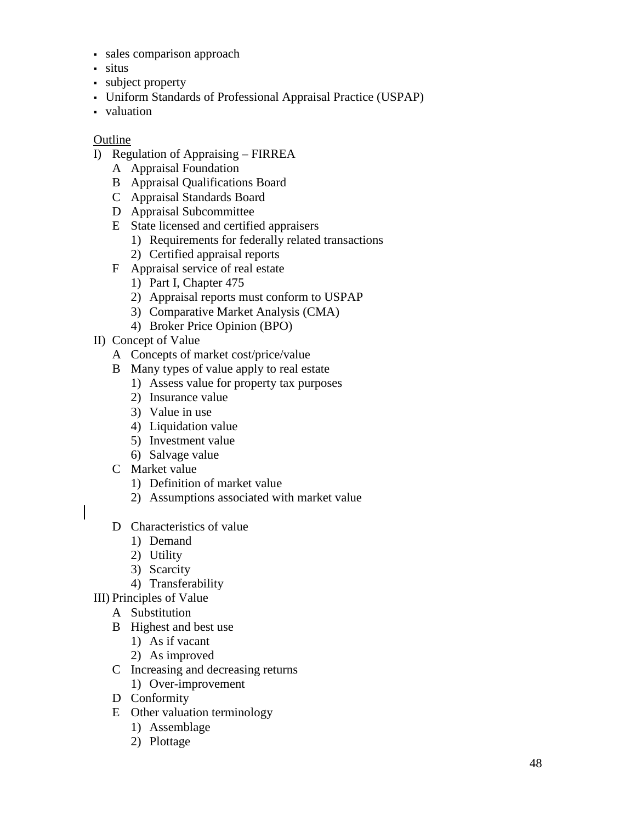- sales comparison approach
- situs
- subject property
- Uniform Standards of Professional Appraisal Practice (USPAP)
- valuation

- I) Regulation of Appraising FIRREA
	- A Appraisal Foundation
	- B Appraisal Qualifications Board
	- C Appraisal Standards Board
	- D Appraisal Subcommittee
	- E State licensed and certified appraisers
		- 1) Requirements for federally related transactions
		- 2) Certified appraisal reports
	- F Appraisal service of real estate
		- 1) Part I, Chapter 475
		- 2) Appraisal reports must conform to USPAP
		- 3) Comparative Market Analysis (CMA)
		- 4) Broker Price Opinion (BPO)
- II) Concept of Value
	- A Concepts of market cost/price/value
	- B Many types of value apply to real estate
		- 1) Assess value for property tax purposes
		- 2) Insurance value
		- 3) Value in use
		- 4) Liquidation value
		- 5) Investment value
		- 6) Salvage value
	- C Market value
		- 1) Definition of market value
		- 2) Assumptions associated with market value
	- D Characteristics of value
		- 1) Demand
		- 2) Utility
		- 3) Scarcity
		- 4) Transferability
- III) Principles of Value
	- A Substitution
	- B Highest and best use
		- 1) As if vacant
		- 2) As improved
	- C Increasing and decreasing returns
		- 1) Over-improvement
	- D Conformity
	- E Other valuation terminology
		- 1) Assemblage
		- 2) Plottage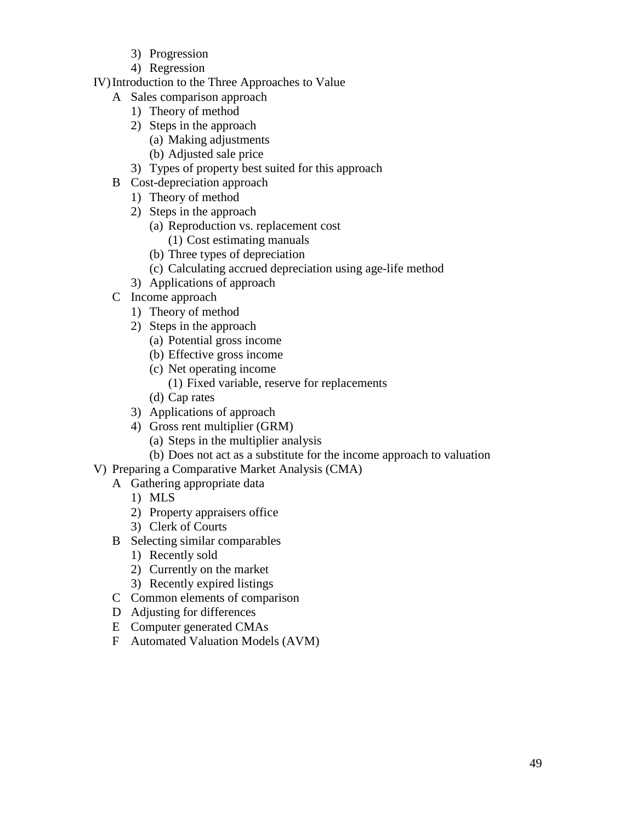- 3) Progression
- 4) Regression
- IV)Introduction to the Three Approaches to Value
	- A Sales comparison approach
		- 1) Theory of method
		- 2) Steps in the approach
			- (a) Making adjustments
			- (b) Adjusted sale price
		- 3) Types of property best suited for this approach
	- B Cost-depreciation approach
		- 1) Theory of method
		- 2) Steps in the approach
			- (a) Reproduction vs. replacement cost
				- (1) Cost estimating manuals
			- (b) Three types of depreciation
			- (c) Calculating accrued depreciation using age-life method
		- 3) Applications of approach
	- C Income approach
		- 1) Theory of method
		- 2) Steps in the approach
			- (a) Potential gross income
			- (b) Effective gross income
			- (c) Net operating income
				- (1) Fixed variable, reserve for replacements
			- (d) Cap rates
		- 3) Applications of approach
		- 4) Gross rent multiplier (GRM)
			- (a) Steps in the multiplier analysis
			- (b) Does not act as a substitute for the income approach to valuation
- V) Preparing a Comparative Market Analysis (CMA)
	- A Gathering appropriate data
		- 1) MLS
		- 2) Property appraisers office
		- 3) Clerk of Courts
	- B Selecting similar comparables
		- 1) Recently sold
		- 2) Currently on the market
		- 3) Recently expired listings
	- C Common elements of comparison
	- D Adjusting for differences
	- E Computer generated CMAs
	- F Automated Valuation Models (AVM)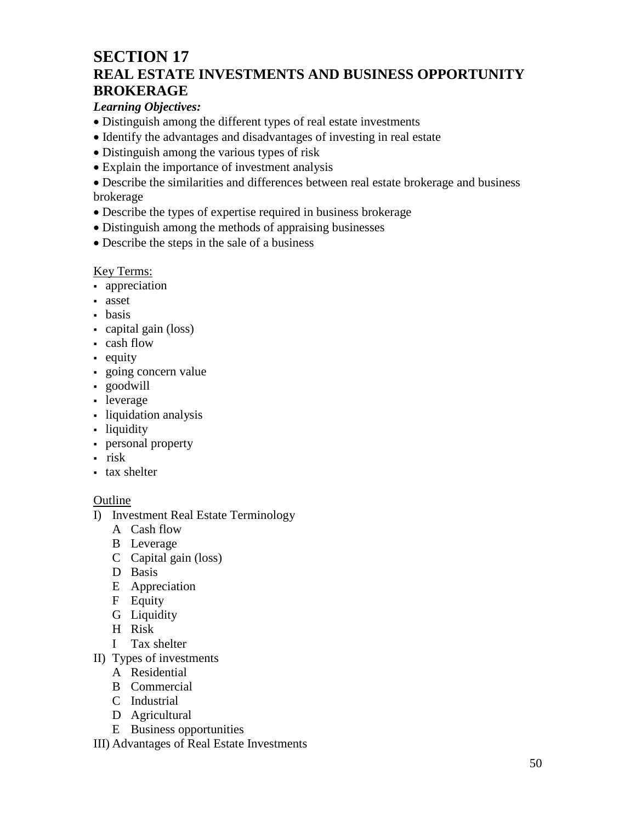### **SECTION 17 REAL ESTATE INVESTMENTS AND BUSINESS OPPORTUNITY BROKERAGE**

### *Learning Objectives:*

- Distinguish among the different types of real estate investments
- Identify the advantages and disadvantages of investing in real estate
- Distinguish among the various types of risk
- Explain the importance of investment analysis

• Describe the similarities and differences between real estate brokerage and business brokerage

- Describe the types of expertise required in business brokerage
- Distinguish among the methods of appraising businesses
- Describe the steps in the sale of a business

### Key Terms:

- **-** appreciation
- asset
- basis
- capital gain (loss)
- cash flow
- equity
- going concern value
- goodwill
- leverage
- liquidation analysis
- liquidity
- personal property
- $\cdot$  risk
- tax shelter

- I) Investment Real Estate Terminology
	- A Cash flow
	- B Leverage
	- C Capital gain (loss)
	- D Basis
	- E Appreciation
	- F Equity
	- G Liquidity
	- H Risk
	- I Tax shelter
- II) Types of investments
	- A Residential
	- B Commercial
	- C Industrial
	- D Agricultural
	- E Business opportunities
- III) Advantages of Real Estate Investments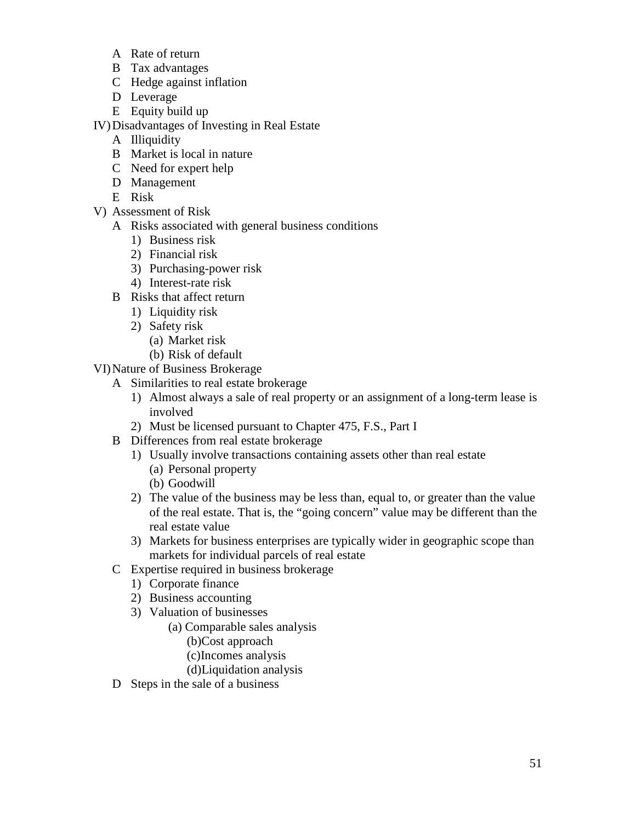- A Rate of return
- B Tax advantages
- C Hedge against inflation
- D Leverage
- E Equity build up

IV)Disadvantages of Investing in Real Estate

- A Illiquidity
- B Market is local in nature
- C Need for expert help
- D Management
- E Risk
- V) Assessment of Risk
	- A Risks associated with general business conditions
		- 1) Business risk
		- 2) Financial risk
		- 3) Purchasing-power risk
		- 4) Interest-rate risk
	- B Risks that affect return
		- 1) Liquidity risk
		- 2) Safety risk
			- (a) Market risk
			- (b) Risk of default
- VI)Nature of Business Brokerage
	- A Similarities to real estate brokerage
		- 1) Almost always a sale of real property or an assignment of a long-term lease is involved
		- 2) Must be licensed pursuant to Chapter 475, F.S., Part I
	- B Differences from real estate brokerage
		- 1) Usually involve transactions containing assets other than real estate (a) Personal property (b) Goodwill
		- 2) The value of the business may be less than, equal to, or greater than the value of the real estate. That is, the "going concern" value may be different than the real estate value
		- 3) Markets for business enterprises are typically wider in geographic scope than markets for individual parcels of real estate
	- C Expertise required in business brokerage
		- 1) Corporate finance
		- 2) Business accounting
		- 3) Valuation of businesses
			- (a) Comparable sales analysis
				- (b)Cost approach
				- (c)Incomes analysis
				- (d)Liquidation analysis
	- D Steps in the sale of a business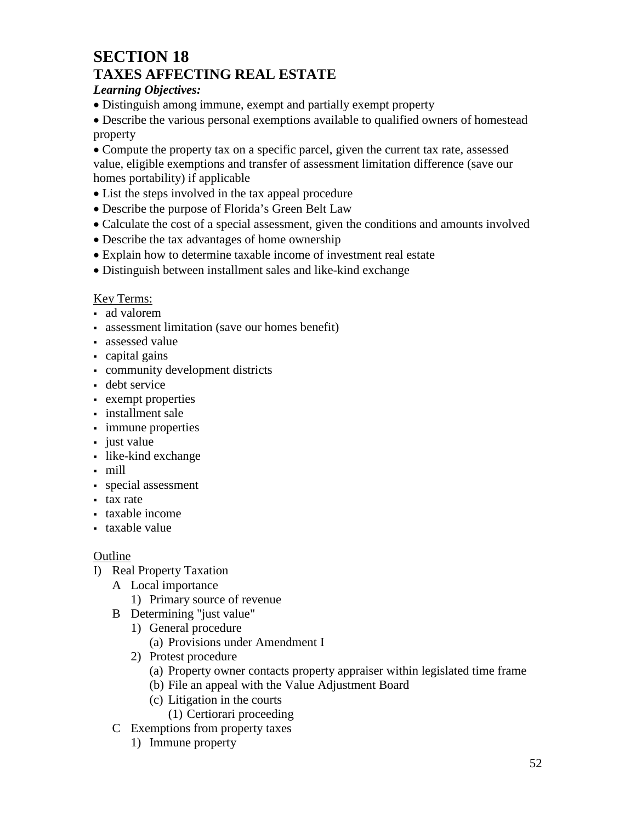### **SECTION 18 TAXES AFFECTING REAL ESTATE**

### *Learning Objectives:*

• Distinguish among immune, exempt and partially exempt property

• Describe the various personal exemptions available to qualified owners of homestead property

• Compute the property tax on a specific parcel, given the current tax rate, assessed value, eligible exemptions and transfer of assessment limitation difference (save our homes portability) if applicable

- List the steps involved in the tax appeal procedure
- Describe the purpose of Florida's Green Belt Law
- Calculate the cost of a special assessment, given the conditions and amounts involved
- Describe the tax advantages of home ownership
- Explain how to determine taxable income of investment real estate
- Distinguish between installment sales and like-kind exchange

#### Key Terms:

- ad valorem
- assessment limitation (save our homes benefit)
- assessed value
- capital gains
- community development districts
- **debt** service
- exempt properties
- installment sale
- immune properties
- just value
- like-kind exchange
- mill
- special assessment
- tax rate
- taxable income
- taxable value

- I) Real Property Taxation
	- A Local importance
		- 1) Primary source of revenue
	- B Determining "just value"
		- 1) General procedure
			- (a) Provisions under Amendment I
		- 2) Protest procedure
			- (a) Property owner contacts property appraiser within legislated time frame
			- (b) File an appeal with the Value Adjustment Board
			- (c) Litigation in the courts
				- (1) Certiorari proceeding
	- C Exemptions from property taxes
		- 1) Immune property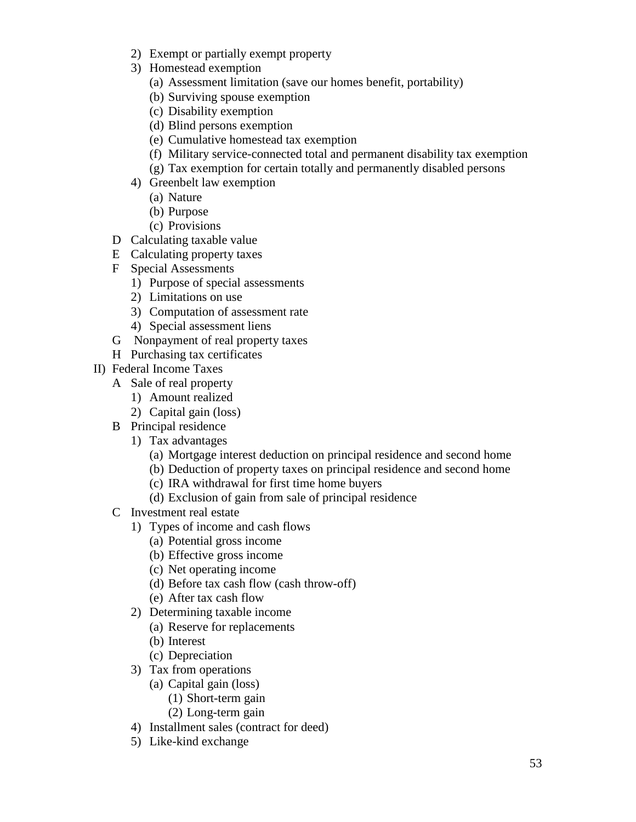- 2) Exempt or partially exempt property
- 3) Homestead exemption
	- (a) Assessment limitation (save our homes benefit, portability)
	- (b) Surviving spouse exemption
	- (c) Disability exemption
	- (d) Blind persons exemption
	- (e) Cumulative homestead tax exemption
	- (f) Military service-connected total and permanent disability tax exemption
	- (g) Tax exemption for certain totally and permanently disabled persons
- 4) Greenbelt law exemption
	- (a) Nature
	- (b) Purpose
	- (c) Provisions
- D Calculating taxable value
- E Calculating property taxes
- F Special Assessments
	- 1) Purpose of special assessments
	- 2) Limitations on use
	- 3) Computation of assessment rate
	- 4) Special assessment liens
- G Nonpayment of real property taxes
- H Purchasing tax certificates
- II) Federal Income Taxes
	- A Sale of real property
		- 1) Amount realized
		- 2) Capital gain (loss)
	- B Principal residence
		- 1) Tax advantages
			- (a) Mortgage interest deduction on principal residence and second home
			- (b) Deduction of property taxes on principal residence and second home
			- (c) IRA withdrawal for first time home buyers
			- (d) Exclusion of gain from sale of principal residence
	- C Investment real estate
		- 1) Types of income and cash flows
			- (a) Potential gross income
			- (b) Effective gross income
			- (c) Net operating income
			- (d) Before tax cash flow (cash throw-off)
			- (e) After tax cash flow
		- 2) Determining taxable income
			- (a) Reserve for replacements
			- (b) Interest
			- (c) Depreciation
		- 3) Tax from operations
			- (a) Capital gain (loss)
				- (1) Short-term gain
				- (2) Long-term gain
		- 4) Installment sales (contract for deed)
		- 5) Like-kind exchange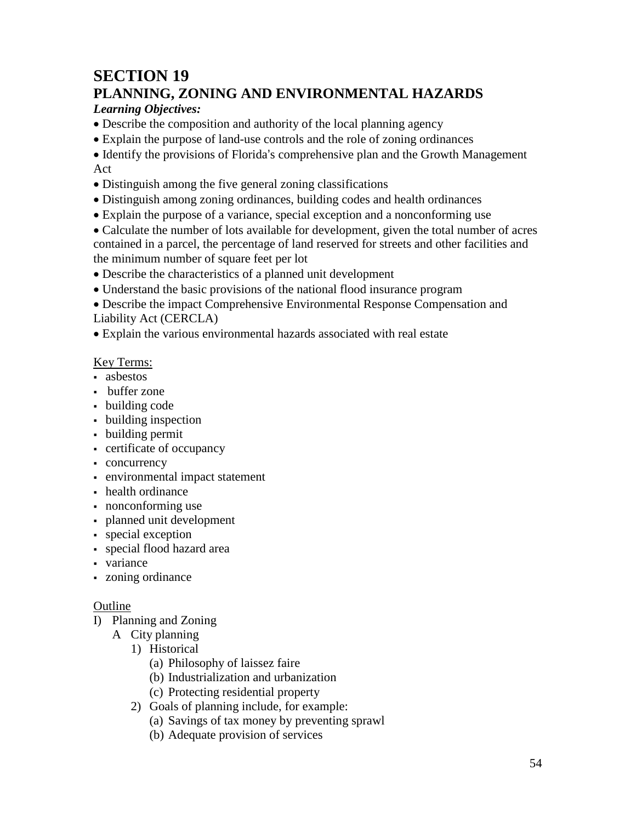# **SECTION 19**

## **PLANNING, ZONING AND ENVIRONMENTAL HAZARDS**

### *Learning Objectives:*

• Describe the composition and authority of the local planning agency

• Explain the purpose of land-use controls and the role of zoning ordinances

• Identify the provisions of Florida's comprehensive plan and the Growth Management Act

- Distinguish among the five general zoning classifications
- Distinguish among zoning ordinances, building codes and health ordinances
- Explain the purpose of a variance, special exception and a nonconforming use

• Calculate the number of lots available for development, given the total number of acres contained in a parcel, the percentage of land reserved for streets and other facilities and the minimum number of square feet per lot

- Describe the characteristics of a planned unit development
- Understand the basic provisions of the national flood insurance program
- Describe the impact Comprehensive Environmental Response Compensation and Liability Act (CERCLA)

• Explain the various environmental hazards associated with real estate

#### Key Terms:

- asbestos
- buffer zone
- building code
- building inspection
- building permit
- certificate of occupancy
- concurrency
- environmental impact statement
- health ordinance
- nonconforming use
- planned unit development
- special exception
- special flood hazard area
- variance
- zoning ordinance

- I) Planning and Zoning
	- A City planning
		- 1) Historical
			- (a) Philosophy of laissez faire
			- (b) Industrialization and urbanization
			- (c) Protecting residential property
		- 2) Goals of planning include, for example:
			- (a) Savings of tax money by preventing sprawl
			- (b) Adequate provision of services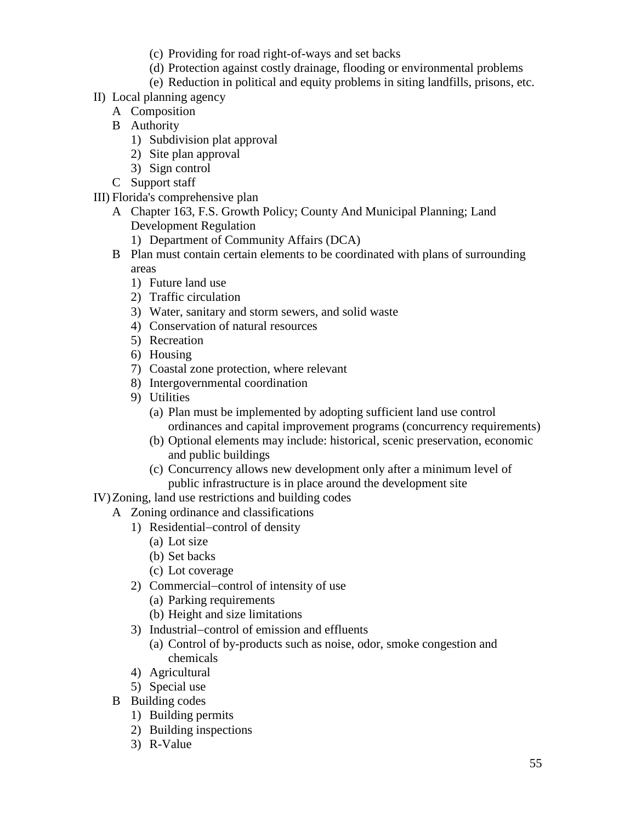- (c) Providing for road right-of-ways and set backs
- (d) Protection against costly drainage, flooding or environmental problems
- (e) Reduction in political and equity problems in siting landfills, prisons, etc.
- II) Local planning agency
	- A Composition
	- B Authority
		- 1) Subdivision plat approval
		- 2) Site plan approval
		- 3) Sign control
	- C Support staff

III) Florida's comprehensive plan

- A Chapter 163, F.S. Growth Policy; County And Municipal Planning; Land Development Regulation
	- 1) Department of Community Affairs (DCA)
- B Plan must contain certain elements to be coordinated with plans of surrounding areas
	- 1) Future land use
	- 2) Traffic circulation
	- 3) Water, sanitary and storm sewers, and solid waste
	- 4) Conservation of natural resources
	- 5) Recreation
	- 6) Housing
	- 7) Coastal zone protection, where relevant
	- 8) Intergovernmental coordination
	- 9) Utilities
		- (a) Plan must be implemented by adopting sufficient land use control ordinances and capital improvement programs (concurrency requirements)
		- (b) Optional elements may include: historical, scenic preservation, economic and public buildings
		- (c) Concurrency allows new development only after a minimum level of public infrastructure is in place around the development site
- IV)Zoning, land use restrictions and building codes
	- A Zoning ordinance and classifications
		- 1) Residential−control of density
			- (a) Lot size
			- (b) Set backs
			- (c) Lot coverage
		- 2) Commercial−control of intensity of use
			- (a) Parking requirements
			- (b) Height and size limitations
		- 3) Industrial−control of emission and effluents
			- (a) Control of by-products such as noise, odor, smoke congestion and chemicals
		- 4) Agricultural
		- 5) Special use
	- B Building codes
		- 1) Building permits
		- 2) Building inspections
		- 3) R-Value